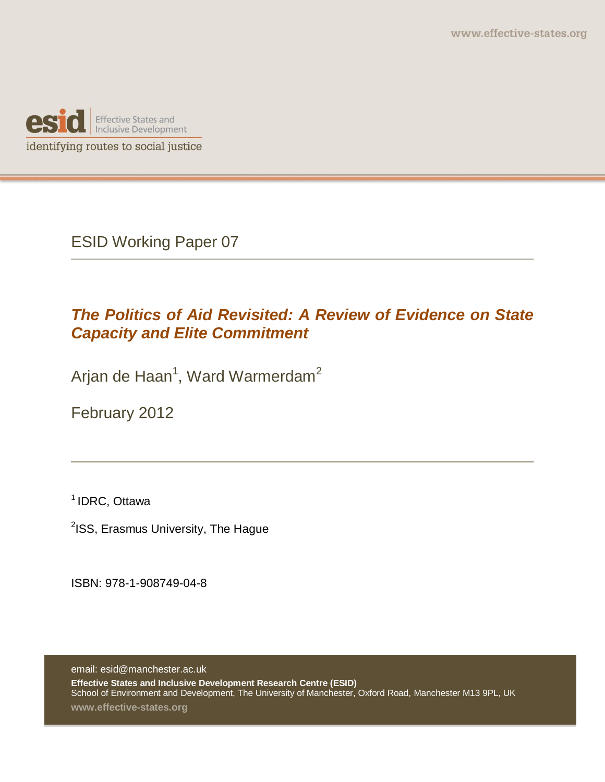

ESID Working Paper 07

# *The Politics of Aid Revisited: A Review of Evidence on State Capacity and Elite Commitment*

Arjan de Haan<sup>1</sup>, Ward Warmerdam<sup>2</sup>

February 2012

1 IDRC, Ottawa

<sup>2</sup>ISS, Erasmus University, The Hague

ISBN: 978-1-908749-04-8

email: esid@manchester.ac.uk **Effective States and Inclusive Development Research Centre (ESID)** School of Environment and Development, The University of Manchester, Oxford Road, Manchester M13 9PL, UK

**www.effective-states.org**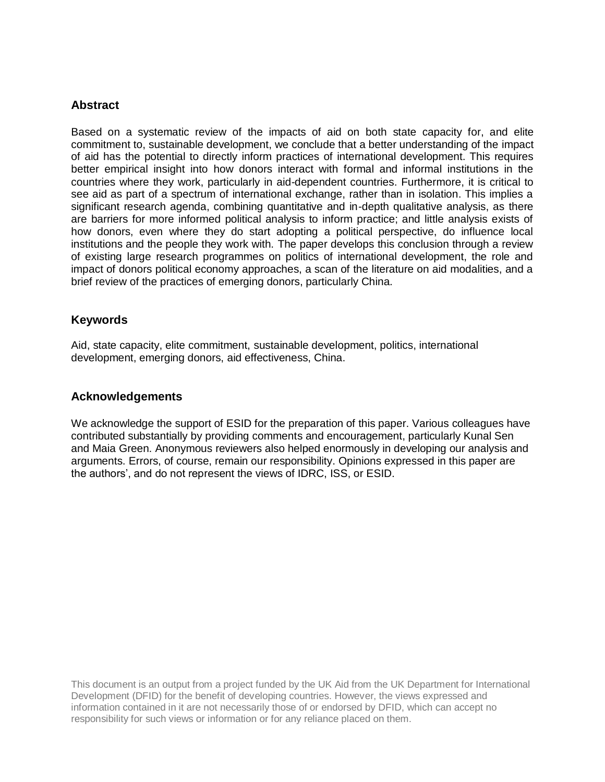#### **Abstract**

Based on a systematic review of the impacts of aid on both state capacity for, and elite commitment to, sustainable development, we conclude that a better understanding of the impact of aid has the potential to directly inform practices of international development. This requires better empirical insight into how donors interact with formal and informal institutions in the countries where they work, particularly in aid-dependent countries. Furthermore, it is critical to see aid as part of a spectrum of international exchange, rather than in isolation. This implies a significant research agenda, combining quantitative and in-depth qualitative analysis, as there are barriers for more informed political analysis to inform practice; and little analysis exists of how donors, even where they do start adopting a political perspective, do influence local institutions and the people they work with. The paper develops this conclusion through a review of existing large research programmes on politics of international development, the role and impact of donors political economy approaches, a scan of the literature on aid modalities, and a brief review of the practices of emerging donors, particularly China.

#### **Keywords**

Aid, state capacity, elite commitment, sustainable development, politics, international development, emerging donors, aid effectiveness, China.

#### **Acknowledgements**

We acknowledge the support of ESID for the preparation of this paper. Various colleagues have contributed substantially by providing comments and encouragement, particularly Kunal Sen and Maia Green. Anonymous reviewers also helped enormously in developing our analysis and arguments. Errors, of course, remain our responsibility. Opinions expressed in this paper are the authors', and do not represent the views of IDRC, ISS, or ESID.

This document is an output from a project funded by the UK Aid from the UK Department for International Development (DFID) for the benefit of developing countries. However, the views expressed and information contained in it are not necessarily those of or endorsed by DFID, which can accept no responsibility for such views or information or for any reliance placed on them.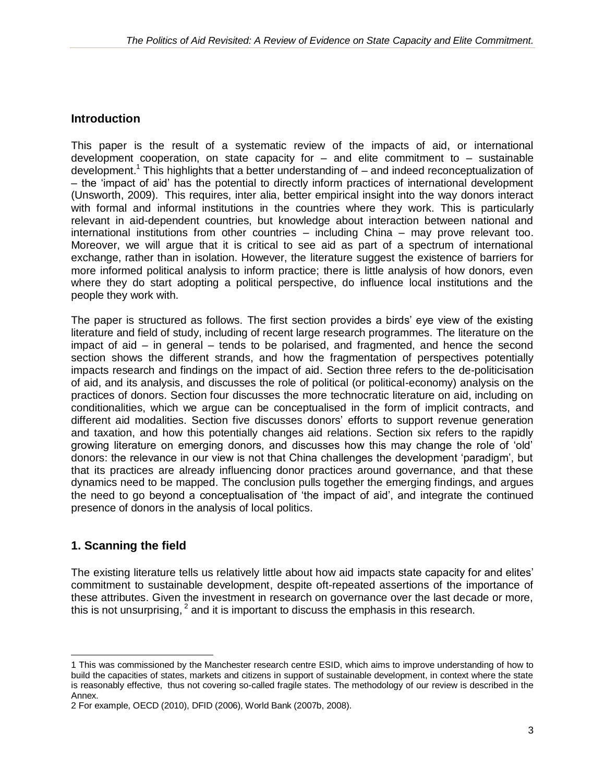## **Introduction**

This paper is the result of a systematic review of the impacts of aid, or international development cooperation, on state capacity for  $-$  and elite commitment to  $-$  sustainable development.<sup>1</sup> This highlights that a better understanding of  $-$  and indeed reconceptualization of – the 'impact of aid' has the potential to directly inform practices of international development (Unsworth, 2009). This requires, inter alia, better empirical insight into the way donors interact with formal and informal institutions in the countries where they work. This is particularly relevant in aid-dependent countries, but knowledge about interaction between national and international institutions from other countries – including China – may prove relevant too. Moreover, we will argue that it is critical to see aid as part of a spectrum of international exchange, rather than in isolation. However, the literature suggest the existence of barriers for more informed political analysis to inform practice; there is little analysis of how donors, even where they do start adopting a political perspective, do influence local institutions and the people they work with.

The paper is structured as follows. The first section provides a birds' eye view of the existing literature and field of study, including of recent large research programmes. The literature on the impact of aid – in general – tends to be polarised, and fragmented, and hence the second section shows the different strands, and how the fragmentation of perspectives potentially impacts research and findings on the impact of aid. Section three refers to the de-politicisation of aid, and its analysis, and discusses the role of political (or political-economy) analysis on the practices of donors. Section four discusses the more technocratic literature on aid, including on conditionalities, which we argue can be conceptualised in the form of implicit contracts, and different aid modalities. Section five discusses donors' efforts to support revenue generation and taxation, and how this potentially changes aid relations. Section six refers to the rapidly growing literature on emerging donors, and discusses how this may change the role of 'old' donors: the relevance in our view is not that China challenges the development 'paradigm', but that its practices are already influencing donor practices around governance, and that these dynamics need to be mapped. The conclusion pulls together the emerging findings, and argues the need to go beyond a conceptualisation of 'the impact of aid', and integrate the continued presence of donors in the analysis of local politics.

## **1. Scanning the field**

The existing literature tells us relatively little about how aid impacts state capacity for and elites' commitment to sustainable development, despite oft-repeated assertions of the importance of these attributes. Given the investment in research on governance over the last decade or more, this is not unsurprising,  $2$  and it is important to discuss the emphasis in this research.

 $\overline{a}$ 1 This was commissioned by the Manchester research centre ESID, which aims to improve understanding of how to build the capacities of states, markets and citizens in support of sustainable development, in context where the state is reasonably effective, thus not covering so-called fragile states. The methodology of our review is described in the Annex.

<sup>2</sup> For example, OECD (2010), DFID (2006), World Bank (2007b, 2008).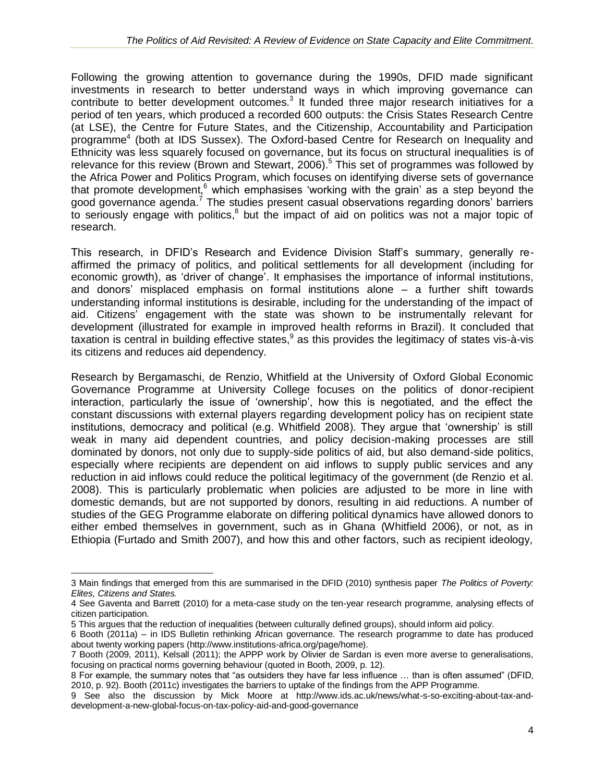Following the growing attention to governance during the 1990s, DFID made significant investments in research to better understand ways in which improving governance can contribute to better development outcomes.<sup>3</sup> It funded three major research initiatives for a period of ten years, which produced a recorded 600 outputs: the Crisis States Research Centre (at LSE), the Centre for Future States, and the Citizenship, Accountability and Participation programme<sup>4</sup> (both at IDS Sussex). The Oxford-based Centre for Research on Inequality and Ethnicity was less squarely focused on governance, but its focus on structural inequalities is of relevance for this review (Brown and Stewart, 2006).<sup>5</sup> This set of programmes was followed by the Africa Power and Politics Program, which focuses on identifying diverse sets of governance that promote development, $6$  which emphasises 'working with the grain' as a step beyond the good governance agenda.<sup>7</sup> The studies present casual observations regarding donors' barriers to seriously engage with politics, $8$  but the impact of aid on politics was not a major topic of research.

This research, in DFID's Research and Evidence Division Staff's summary, generally reaffirmed the primacy of politics, and political settlements for all development (including for economic growth), as 'driver of change'. It emphasises the importance of informal institutions, and donors' misplaced emphasis on formal institutions alone – a further shift towards understanding informal institutions is desirable, including for the understanding of the impact of aid. Citizens' engagement with the state was shown to be instrumentally relevant for development (illustrated for example in improved health reforms in Brazil). It concluded that taxation is central in building effective states,  $9$  as this provides the legitimacy of states vis-à-vis its citizens and reduces aid dependency.

Research by Bergamaschi, de Renzio, Whitfield at the University of Oxford Global Economic Governance Programme at University College focuses on the politics of donor-recipient interaction, particularly the issue of 'ownership', how this is negotiated, and the effect the constant discussions with external players regarding development policy has on recipient state institutions, democracy and political (e.g. Whitfield 2008). They argue that 'ownership' is still weak in many aid dependent countries, and policy decision-making processes are still dominated by donors, not only due to supply-side politics of aid, but also demand-side politics, especially where recipients are dependent on aid inflows to supply public services and any reduction in aid inflows could reduce the political legitimacy of the government (de Renzio et al. 2008). This is particularly problematic when policies are adjusted to be more in line with domestic demands, but are not supported by donors, resulting in aid reductions. A number of studies of the GEG Programme elaborate on differing political dynamics have allowed donors to either embed themselves in government, such as in Ghana (Whitfield 2006), or not, as in Ethiopia (Furtado and Smith 2007), and how this and other factors, such as recipient ideology,

<sup>3</sup> Main findings that emerged from this are summarised in the DFID (2010) synthesis paper *The Politics of Poverty: Elites, Citizens and States.*

<sup>4</sup> See Gaventa and Barrett (2010) for a meta-case study on the ten-year research programme, analysing effects of citizen participation.

<sup>5</sup> This argues that the reduction of inequalities (between culturally defined groups), should inform aid policy.

<sup>6</sup> Booth (2011a) – in IDS Bulletin rethinking African governance. The research programme to date has produced about twenty working papers (http://www.institutions-africa.org/page/home).

<sup>7</sup> Booth (2009, 2011), Kelsall (2011); the APPP work by Olivier de Sardan is even more averse to generalisations, focusing on practical norms governing behaviour (quoted in Booth, 2009, p. 12).

<sup>8</sup> For example, the summary notes that "as outsiders they have far less influence … than is often assumed" (DFID, 2010, p. 92). Booth (2011c) investigates the barriers to uptake of the findings from the APP Programme.

<sup>9</sup> See also the discussion by Mick Moore at http://www.ids.ac.uk/news/what-s-so-exciting-about-tax-anddevelopment-a-new-global-focus-on-tax-policy-aid-and-good-governance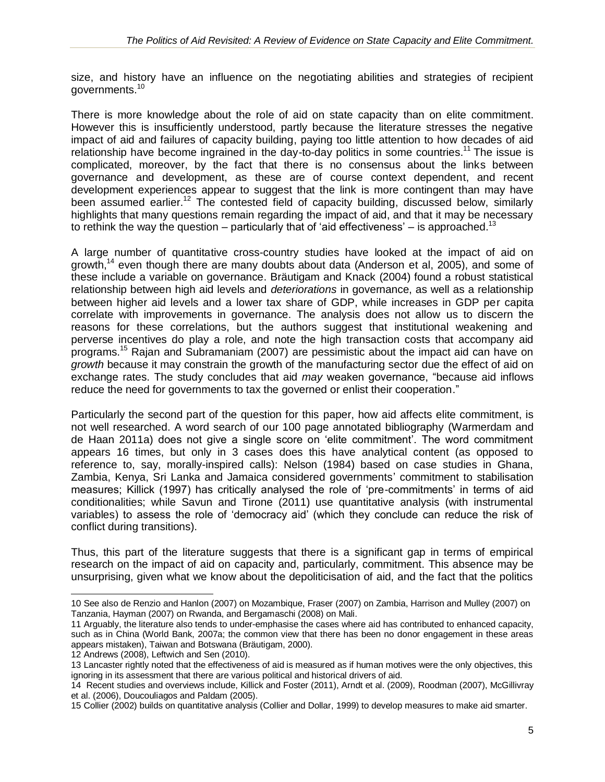size, and history have an influence on the negotiating abilities and strategies of recipient governments.<sup>10</sup>

There is more knowledge about the role of aid on state capacity than on elite commitment. However this is insufficiently understood, partly because the literature stresses the negative impact of aid and failures of capacity building, paying too little attention to how decades of aid relationship have become ingrained in the day-to-day politics in some countries.<sup>11</sup> The issue is complicated, moreover, by the fact that there is no consensus about the links between governance and development, as these are of course context dependent, and recent development experiences appear to suggest that the link is more contingent than may have been assumed earlier.<sup>12</sup> The contested field of capacity building, discussed below, similarly highlights that many questions remain regarding the impact of aid, and that it may be necessary to rethink the way the question – particularly that of 'aid effectiveness' – is approached.<sup>13</sup>

A large number of quantitative cross-country studies have looked at the impact of aid on growth,<sup>14</sup> even though there are many doubts about data (Anderson et al, 2005), and some of these include a variable on governance. Bräutigam and Knack (2004) found a robust statistical relationship between high aid levels and *deteriorations* in governance, as well as a relationship between higher aid levels and a lower tax share of GDP, while increases in GDP per capita correlate with improvements in governance. The analysis does not allow us to discern the reasons for these correlations, but the authors suggest that institutional weakening and perverse incentives do play a role, and note the high transaction costs that accompany aid programs.<sup>15</sup> Rajan and Subramaniam (2007) are pessimistic about the impact aid can have on *growth* because it may constrain the growth of the manufacturing sector due the effect of aid on exchange rates. The study concludes that aid *may* weaken governance, "because aid inflows reduce the need for governments to tax the governed or enlist their cooperation."

Particularly the second part of the question for this paper, how aid affects elite commitment, is not well researched. A word search of our 100 page annotated bibliography (Warmerdam and de Haan 2011a) does not give a single score on 'elite commitment'. The word commitment appears 16 times, but only in 3 cases does this have analytical content (as opposed to reference to, say, morally-inspired calls): Nelson (1984) based on case studies in Ghana, Zambia, Kenya, Sri Lanka and Jamaica considered governments' commitment to stabilisation measures; Killick (1997) has critically analysed the role of 'pre-commitments' in terms of aid conditionalities; while Savun and Tirone (2011) use quantitative analysis (with instrumental variables) to assess the role of 'democracy aid' (which they conclude can reduce the risk of conflict during transitions).

Thus, this part of the literature suggests that there is a significant gap in terms of empirical research on the impact of aid on capacity and, particularly, commitment. This absence may be unsurprising, given what we know about the depoliticisation of aid, and the fact that the politics

12 Andrews (2008), Leftwich and Sen (2010).

 $\overline{a}$ 10 See also de Renzio and Hanlon (2007) on Mozambique, Fraser (2007) on Zambia, Harrison and Mulley (2007) on Tanzania, Hayman (2007) on Rwanda, and Bergamaschi (2008) on Mali.

<sup>11</sup> Arguably, the literature also tends to under-emphasise the cases where aid has contributed to enhanced capacity, such as in China (World Bank, 2007a; the common view that there has been no donor engagement in these areas appears mistaken), Taiwan and Botswana (Bräutigam, 2000).

<sup>13</sup> Lancaster rightly noted that the effectiveness of aid is measured as if human motives were the only objectives, this ignoring in its assessment that there are various political and historical drivers of aid.

<sup>14</sup> Recent studies and overviews include, Killick and Foster (2011), Arndt et al. (2009), Roodman (2007), McGillivray et al. (2006), Doucouliagos and Paldam (2005).

<sup>15</sup> Collier (2002) builds on quantitative analysis (Collier and Dollar, 1999) to develop measures to make aid smarter.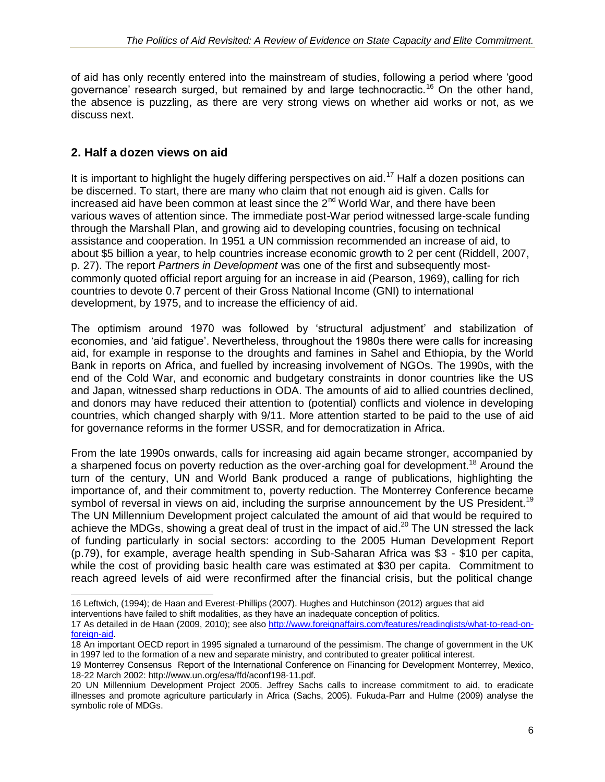of aid has only recently entered into the mainstream of studies, following a period where 'good governance' research surged, but remained by and large technocractic.<sup>16</sup> On the other hand, the absence is puzzling, as there are very strong views on whether aid works or not, as we discuss next.

### **2. Half a dozen views on aid**

It is important to highlight the hugely differing perspectives on aid.<sup>17</sup> Half a dozen positions can be discerned. To start, there are many who claim that not enough aid is given. Calls for increased aid have been common at least since the  $2^{nd}$  World War, and there have been various waves of attention since. The immediate post-War period witnessed large-scale funding through the Marshall Plan, and growing aid to developing countries, focusing on technical assistance and cooperation. In 1951 a UN commission recommended an increase of aid, to about \$5 billion a year, to help countries increase economic growth to 2 per cent (Riddell, 2007, p. 27). The report *Partners in Development* was one of the first and subsequently mostcommonly quoted official report arguing for an increase in aid (Pearson, 1969), calling for rich countries to devote 0.7 percent of their Gross National Income (GNI) to international development, by 1975, and to increase the efficiency of aid.

The optimism around 1970 was followed by 'structural adjustment' and stabilization of economies, and 'aid fatigue'. Nevertheless, throughout the 1980s there were calls for increasing aid, for example in response to the droughts and famines in Sahel and Ethiopia, by the World Bank in reports on Africa, and fuelled by increasing involvement of NGOs. The 1990s, with the end of the Cold War, and economic and budgetary constraints in donor countries like the US and Japan, witnessed sharp reductions in ODA. The amounts of aid to allied countries declined, and donors may have reduced their attention to (potential) conflicts and violence in developing countries, which changed sharply with 9/11. More attention started to be paid to the use of aid for governance reforms in the former USSR, and for democratization in Africa.

From the late 1990s onwards, calls for increasing aid again became stronger, accompanied by a sharpened focus on poverty reduction as the over-arching goal for development.<sup>18</sup> Around the turn of the century, UN and World Bank produced a range of publications, highlighting the importance of, and their commitment to, poverty reduction. The Monterrey Conference became symbol of reversal in views on aid, including the surprise announcement by the US President.<sup>19</sup> The UN Millennium Development project calculated the amount of aid that would be required to achieve the MDGs, showing a great deal of trust in the impact of aid. $^{20}$  The UN stressed the lack of funding particularly in social sectors: according to the 2005 Human Development Report (p.79), for example, average health spending in Sub-Saharan Africa was \$3 - \$10 per capita, while the cost of providing basic health care was estimated at \$30 per capita. Commitment to reach agreed levels of aid were reconfirmed after the financial crisis, but the political change

 $\overline{a}$ 16 Leftwich, (1994); de Haan and Everest-Phillips (2007). Hughes and Hutchinson (2012) argues that aid

interventions have failed to shift modalities, as they have an inadequate conception of politics.

<sup>17</sup> As detailed in de Haan (2009, 2010); see also [http://www.foreignaffairs.com/features/readinglists/what-to-read-on](http://www.foreignaffairs.com/features/readinglists/what-to-read-on-foreign-aid)[foreign-aid.](http://www.foreignaffairs.com/features/readinglists/what-to-read-on-foreign-aid)

<sup>18</sup> An important OECD report in 1995 signaled a turnaround of the pessimism. The change of government in the UK in 1997 led to the formation of a new and separate ministry, and contributed to greater political interest.

<sup>19</sup> Monterrey Consensus Report of the International Conference on Financing for Development Monterrey, Mexico, 18-22 March 2002: [http://www.un.org/esa/ffd/aconf198-11.pdf.](http://www.un.org/esa/ffd/aconf198-11.pdf)

<sup>20</sup> UN Millennium Development Project 2005. Jeffrey Sachs calls to increase commitment to aid, to eradicate illnesses and promote agriculture particularly in Africa (Sachs, 2005). Fukuda-Parr and Hulme (2009) analyse the symbolic role of MDGs.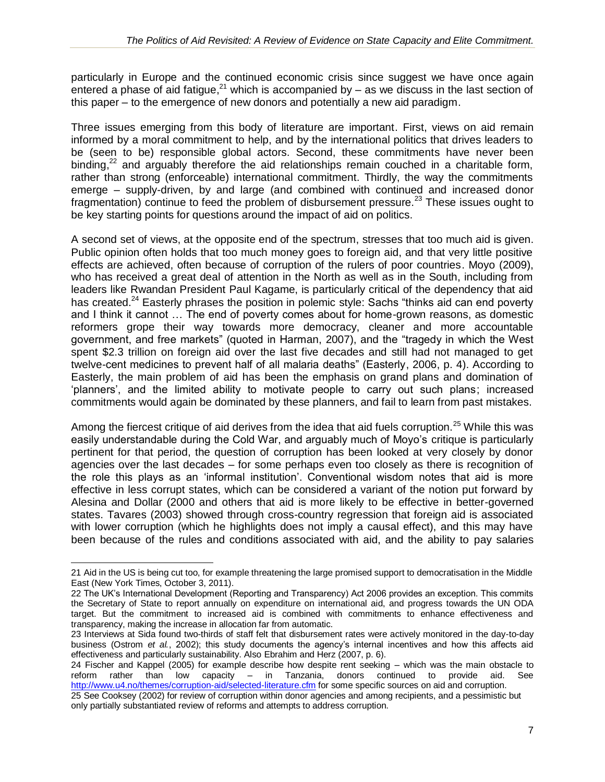particularly in Europe and the continued economic crisis since suggest we have once again entered a phase of aid fatigue,<sup>21</sup> which is accompanied by  $-$  as we discuss in the last section of this paper – to the emergence of new donors and potentially a new aid paradigm.

Three issues emerging from this body of literature are important. First, views on aid remain informed by a moral commitment to help, and by the international politics that drives leaders to be (seen to be) responsible global actors. Second, these commitments have never been binding, $2^2$  and arguably therefore the aid relationships remain couched in a charitable form, rather than strong (enforceable) international commitment. Thirdly, the way the commitments emerge – supply-driven, by and large (and combined with continued and increased donor fragmentation) continue to feed the problem of disbursement pressure.<sup>23</sup> These issues ought to be key starting points for questions around the impact of aid on politics.

A second set of views, at the opposite end of the spectrum, stresses that too much aid is given. Public opinion often holds that too much money goes to foreign aid, and that very little positive effects are achieved, often because of corruption of the rulers of poor countries. Moyo (2009), who has received a great deal of attention in the North as well as in the South, including from leaders like Rwandan President Paul Kagame, is particularly critical of the dependency that aid has created.<sup>24</sup> Easterly phrases the position in polemic style: Sachs "thinks aid can end poverty and I think it cannot … The end of poverty comes about for home-grown reasons, as domestic reformers grope their way towards more democracy, cleaner and more accountable government, and free markets" (quoted in Harman, 2007), and the "tragedy in which the West spent \$2.3 trillion on foreign aid over the last five decades and still had not managed to get twelve-cent medicines to prevent half of all malaria deaths" (Easterly, 2006, p. 4). According to Easterly, the main problem of aid has been the emphasis on grand plans and domination of 'planners', and the limited ability to motivate people to carry out such plans; increased commitments would again be dominated by these planners, and fail to learn from past mistakes.

Among the fiercest critique of aid derives from the idea that aid fuels corruption.<sup>25</sup> While this was easily understandable during the Cold War, and arguably much of Moyo's critique is particularly pertinent for that period, the question of corruption has been looked at very closely by donor agencies over the last decades – for some perhaps even too closely as there is recognition of the role this plays as an 'informal institution'. Conventional wisdom notes that aid is more effective in less corrupt states, which can be considered a variant of the notion put forward by Alesina and Dollar (2000 and others that aid is more likely to be effective in better-governed states. Tavares (2003) showed through cross-country regression that foreign aid is associated with lower corruption (which he highlights does not imply a causal effect), and this may have been because of the rules and conditions associated with aid, and the ability to pay salaries

<sup>21</sup> Aid in the US is being cut too, for example threatening the large promised support to democratisation in the Middle East (New York Times, October 3, 2011).

<sup>22</sup> The UK's International Development (Reporting and Transparency) Act 2006 provides an exception. This commits the Secretary of State to report annually on expenditure on international aid, and progress towards the UN ODA target. But the commitment to increased aid is combined with commitments to enhance effectiveness and transparency, making the increase in allocation far from automatic.

<sup>23</sup> Interviews at Sida found two-thirds of staff felt that disbursement rates were actively monitored in the day-to-day business (Ostrom *et al.*, 2002); this study documents the agency's internal incentives and how this affects aid effectiveness and particularly sustainability. Also Ebrahim and Herz (2007, p. 6).

<sup>24</sup> Fischer and Kappel (2005) for example describe how despite rent seeking – which was the main obstacle to reform rather than low capacity – in Tanzania, donors continued to provide aid. See <http://www.u4.no/themes/corruption-aid/selected-literature.cfm> for some specific sources on aid and corruption.

<sup>25</sup> See Cooksey (2002) for review of corruption within donor agencies and among recipients, and a pessimistic but only partially substantiated review of reforms and attempts to address corruption.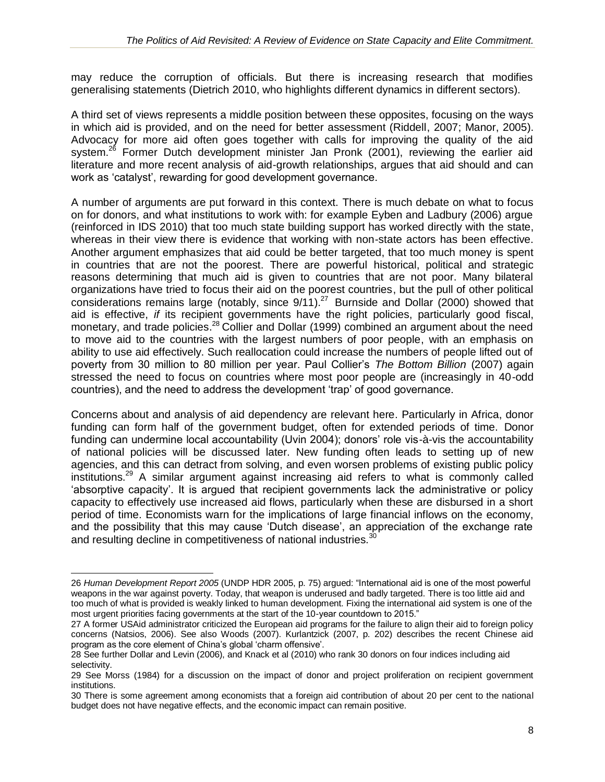may reduce the corruption of officials. But there is increasing research that modifies generalising statements (Dietrich 2010, who highlights different dynamics in different sectors).

A third set of views represents a middle position between these opposites, focusing on the ways in which aid is provided, and on the need for better assessment (Riddell, 2007; Manor, 2005). Advocacy for more aid often goes together with calls for improving the quality of the aid system.<sup>26</sup> Former Dutch development minister Jan Pronk (2001), reviewing the earlier aid literature and more recent analysis of aid-growth relationships, argues that aid should and can work as 'catalyst', rewarding for good development governance.

A number of arguments are put forward in this context. There is much debate on what to focus on for donors, and what institutions to work with: for example Eyben and Ladbury (2006) argue (reinforced in IDS 2010) that too much state building support has worked directly with the state, whereas in their view there is evidence that working with non-state actors has been effective. Another argument emphasizes that aid could be better targeted, that too much money is spent in countries that are not the poorest. There are powerful historical, political and strategic reasons determining that much aid is given to countries that are not poor. Many bilateral organizations have tried to focus their aid on the poorest countries, but the pull of other political considerations remains large (notably, since 9/11).<sup>27</sup> Burnside and Dollar (2000) showed that aid is effective, *if* its recipient governments have the right policies, particularly good fiscal, monetary, and trade policies.<sup>28</sup> Collier and Dollar (1999) combined an argument about the need to move aid to the countries with the largest numbers of poor people, with an emphasis on ability to use aid effectively. Such reallocation could increase the numbers of people lifted out of poverty from 30 million to 80 million per year. Paul Collier's *The Bottom Billion* (2007) again stressed the need to focus on countries where most poor people are (increasingly in 40-odd countries), and the need to address the development 'trap' of good governance.

Concerns about and analysis of aid dependency are relevant here. Particularly in Africa, donor funding can form half of the government budget, often for extended periods of time. Donor funding can undermine local accountability (Uvin 2004); donors' role vis-à-vis the accountability of national policies will be discussed later. New funding often leads to setting up of new agencies, and this can detract from solving, and even worsen problems of existing public policy institutions.<sup>29</sup> A similar argument against increasing aid refers to what is commonly called 'absorptive capacity'. It is argued that recipient governments lack the administrative or policy capacity to effectively use increased aid flows, particularly when these are disbursed in a short period of time. Economists warn for the implications of large financial inflows on the economy, and the possibility that this may cause 'Dutch disease', an appreciation of the exchange rate and resulting decline in competitiveness of national industries.<sup>30</sup>

<sup>26</sup> *Human Development Report 2005* (UNDP HDR 2005, p. 75) argued: "International aid is one of the most powerful weapons in the war against poverty. Today, that weapon is underused and badly targeted. There is too little aid and too much of what is provided is weakly linked to human development. Fixing the international aid system is one of the most urgent priorities facing governments at the start of the 10-year countdown to 2015."

<sup>27</sup> A former USAid administrator criticized the European aid programs for the failure to align their aid to foreign policy concerns (Natsios, 2006). See also Woods (2007). Kurlantzick (2007, p. 202) describes the recent Chinese aid program as the core element of China's global 'charm offensive'.

<sup>28</sup> See further Dollar and Levin (2006), and Knack et al (2010) who rank 30 donors on four indices including aid selectivity.

<sup>29</sup> See Morss (1984) for a discussion on the impact of donor and project proliferation on recipient government institutions.

<sup>30</sup> There is some agreement among economists that a foreign aid contribution of about 20 per cent to the national budget does not have negative effects, and the economic impact can remain positive.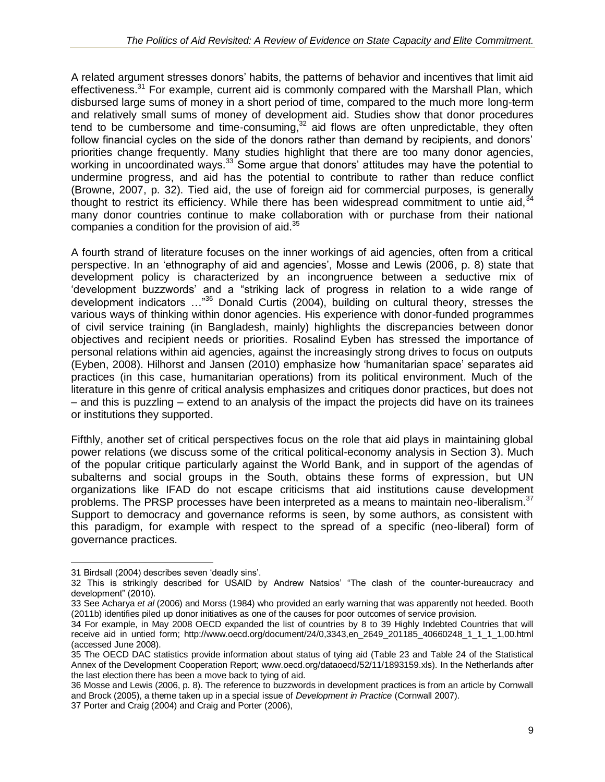A related argument stresses donors' habits, the patterns of behavior and incentives that limit aid effectiveness.<sup>31</sup> For example, current aid is commonly compared with the Marshall Plan, which disbursed large sums of money in a short period of time, compared to the much more long-term and relatively small sums of money of development aid. Studies show that donor procedures tend to be cumbersome and time-consuming, $32$  aid flows are often unpredictable, they often follow financial cycles on the side of the donors rather than demand by recipients, and donors' priorities change frequently. Many studies highlight that there are too many donor agencies, working in uncoordinated ways.<sup>33</sup> Some argue that donors' attitudes may have the potential to undermine progress, and aid has the potential to contribute to rather than reduce conflict (Browne, 2007, p. 32). Tied aid, the use of foreign aid for commercial purposes, is generally thought to restrict its efficiency. While there has been widespread commitment to untie aid. $34$ many donor countries continue to make collaboration with or purchase from their national companies a condition for the provision of aid. $35$ 

A fourth strand of literature focuses on the inner workings of aid agencies, often from a critical perspective. In an 'ethnography of aid and agencies', Mosse and Lewis (2006, p. 8) state that development policy is characterized by an incongruence between a seductive mix of 'development buzzwords' and a "striking lack of progress in relation to a wide range of development indicators …"<sup>36</sup> Donald Curtis (2004), building on cultural theory, stresses the various ways of thinking within donor agencies. His experience with donor-funded programmes of civil service training (in Bangladesh, mainly) highlights the discrepancies between donor objectives and recipient needs or priorities. Rosalind Eyben has stressed the importance of personal relations within aid agencies, against the increasingly strong drives to focus on outputs (Eyben, 2008). Hilhorst and Jansen (2010) emphasize how 'humanitarian space' separates aid practices (in this case, humanitarian operations) from its political environment. Much of the literature in this genre of critical analysis emphasizes and critiques donor practices, but does not – and this is puzzling – extend to an analysis of the impact the projects did have on its trainees or institutions they supported.

Fifthly, another set of critical perspectives focus on the role that aid plays in maintaining global power relations (we discuss some of the critical political-economy analysis in Section 3). Much of the popular critique particularly against the World Bank, and in support of the agendas of subalterns and social groups in the South, obtains these forms of expression, but UN organizations like IFAD do not escape criticisms that aid institutions cause development problems. The PRSP processes have been interpreted as a means to maintain neo-liberalism.<sup>37</sup> Support to democracy and governance reforms is seen, by some authors, as consistent with this paradigm, for example with respect to the spread of a specific (neo-liberal) form of governance practices.

 $\overline{a}$ 31 Birdsall (2004) describes seven 'deadly sins'.

<sup>32</sup> This is strikingly described for USAID by Andrew Natsios' "The clash of the counter-bureaucracy and development" (2010).

<sup>33</sup> See Acharya *et al* (2006) and Morss (1984) who provided an early warning that was apparently not heeded. Booth (2011b) identifies piled up donor initiatives as one of the causes for poor outcomes of service provision.

<sup>34</sup> For example, in May 2008 OECD expanded the list of countries by 8 to 39 Highly Indebted Countries that will receive aid in untied form; http://www.oecd.org/document/24/0,3343,en\_2649\_201185\_40660248\_1\_1\_1\_1,00.html (accessed June 2008).

<sup>35</sup> The OECD DAC statistics provide information about status of tying aid (Table 23 and Table 24 of the Statistical Annex of the Development Cooperation Report; www.oecd.org/dataoecd/52/11/1893159.xls). In the Netherlands after the last election there has been a move back to tying of aid.

<sup>36</sup> Mosse and Lewis (2006, p. 8). The reference to buzzwords in development practices is from an article by Cornwall and Brock (2005), a theme taken up in a special issue of *Development in Practice* (Cornwall 2007).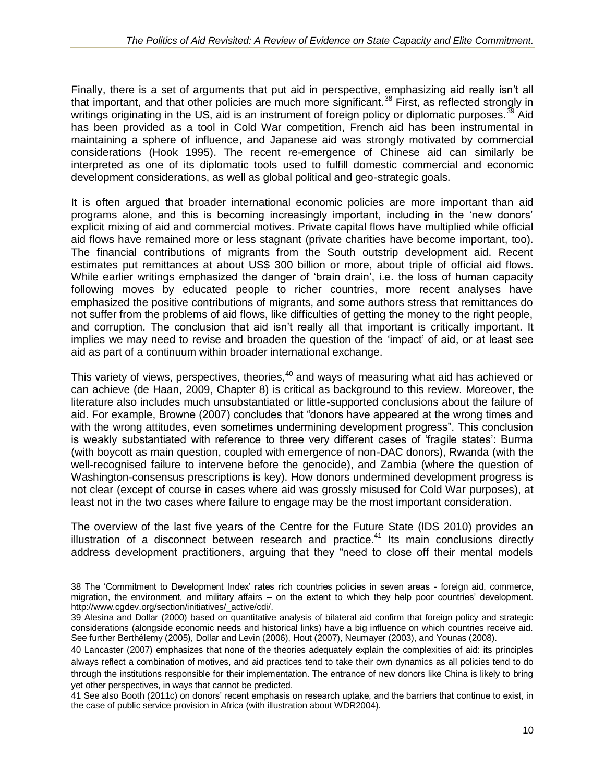Finally, there is a set of arguments that put aid in perspective, emphasizing aid really isn't all that important, and that other policies are much more significant.<sup>38</sup> First, as reflected strongly in writings originating in the US, aid is an instrument of foreign policy or diplomatic purposes.<sup>39</sup> Aid has been provided as a tool in Cold War competition, French aid has been instrumental in maintaining a sphere of influence, and Japanese aid was strongly motivated by commercial considerations (Hook 1995). The recent re-emergence of Chinese aid can similarly be interpreted as one of its diplomatic tools used to fulfill domestic commercial and economic development considerations, as well as global political and geo-strategic goals.

It is often argued that broader international economic policies are more important than aid programs alone, and this is becoming increasingly important, including in the 'new donors' explicit mixing of aid and commercial motives. Private capital flows have multiplied while official aid flows have remained more or less stagnant (private charities have become important, too). The financial contributions of migrants from the South outstrip development aid. Recent estimates put remittances at about US\$ 300 billion or more, about triple of official aid flows. While earlier writings emphasized the danger of 'brain drain', i.e. the loss of human capacity following moves by educated people to richer countries, more recent analyses have emphasized the positive contributions of migrants, and some authors stress that remittances do not suffer from the problems of aid flows, like difficulties of getting the money to the right people, and corruption. The conclusion that aid isn't really all that important is critically important. It implies we may need to revise and broaden the question of the 'impact' of aid, or at least see aid as part of a continuum within broader international exchange.

This variety of views, perspectives, theories,<sup>40</sup> and ways of measuring what aid has achieved or can achieve (de Haan, 2009, Chapter 8) is critical as background to this review. Moreover, the literature also includes much unsubstantiated or little-supported conclusions about the failure of aid. For example, Browne (2007) concludes that "donors have appeared at the wrong times and with the wrong attitudes, even sometimes undermining development progress". This conclusion is weakly substantiated with reference to three very different cases of 'fragile states': Burma (with boycott as main question, coupled with emergence of non-DAC donors), Rwanda (with the well-recognised failure to intervene before the genocide), and Zambia (where the question of Washington-consensus prescriptions is key). How donors undermined development progress is not clear (except of course in cases where aid was grossly misused for Cold War purposes), at least not in the two cases where failure to engage may be the most important consideration.

The overview of the last five years of the Centre for the Future State (IDS 2010) provides an illustration of a disconnect between research and practice.<sup>41</sup> Its main conclusions directly address development practitioners, arguing that they "need to close off their mental models

<sup>38</sup> The 'Commitment to Development Index' rates rich countries policies in seven areas - foreign aid, commerce, migration, the environment, and military affairs – on the extent to which they help poor countries' development. [http://www.cgdev.org/section/initiatives/\\_active/cdi/.](http://www.cgdev.org/section/initiatives/_active/cdi/)

<sup>39</sup> Alesina and Dollar (2000) based on quantitative analysis of bilateral aid confirm that foreign policy and strategic considerations (alongside economic needs and historical links) have a big influence on which countries receive aid. See further Berthélemy (2005), Dollar and Levin (2006), Hout (2007), Neumayer (2003), and Younas (2008).

<sup>40</sup> Lancaster (2007) emphasizes that none of the theories adequately explain the complexities of aid: its principles always reflect a combination of motives, and aid practices tend to take their own dynamics as all policies tend to do through the institutions responsible for their implementation. The entrance of new donors like China is likely to bring yet other perspectives, in ways that cannot be predicted.

<sup>41</sup> See also Booth (2011c) on donors' recent emphasis on research uptake, and the barriers that continue to exist, in the case of public service provision in Africa (with illustration about WDR2004).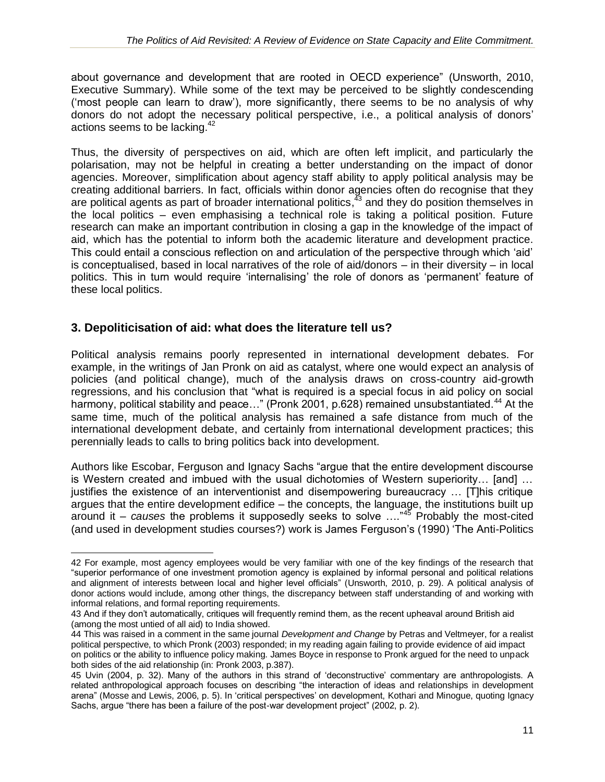about governance and development that are rooted in OECD experience" (Unsworth, 2010, Executive Summary). While some of the text may be perceived to be slightly condescending ('most people can learn to draw'), more significantly, there seems to be no analysis of why donors do not adopt the necessary political perspective, i.e., a political analysis of donors' actions seems to be lacking.<sup>42</sup>

Thus, the diversity of perspectives on aid, which are often left implicit, and particularly the polarisation, may not be helpful in creating a better understanding on the impact of donor agencies. Moreover, simplification about agency staff ability to apply political analysis may be creating additional barriers. In fact, officials within donor agencies often do recognise that they are political agents as part of broader international politics, $^{43}$  and they do position themselves in the local politics – even emphasising a technical role is taking a political position. Future research can make an important contribution in closing a gap in the knowledge of the impact of aid, which has the potential to inform both the academic literature and development practice. This could entail a conscious reflection on and articulation of the perspective through which 'aid' is conceptualised, based in local narratives of the role of aid/donors – in their diversity – in local politics. This in turn would require 'internalising' the role of donors as 'permanent' feature of these local politics.

#### **3. Depoliticisation of aid: what does the literature tell us?**

 $\overline{a}$ 

Political analysis remains poorly represented in international development debates. For example, in the writings of Jan Pronk on aid as catalyst, where one would expect an analysis of policies (and political change), much of the analysis draws on cross-country aid-growth regressions, and his conclusion that "what is required is a special focus in aid policy on social harmony, political stability and peace..." (Pronk 2001, p.628) remained unsubstantiated.<sup>44</sup> At the same time, much of the political analysis has remained a safe distance from much of the international development debate, and certainly from international development practices; this perennially leads to calls to bring politics back into development.

Authors like Escobar, Ferguson and Ignacy Sachs "argue that the entire development discourse is Western created and imbued with the usual dichotomies of Western superiority… [and] … justifies the existence of an interventionist and disempowering bureaucracy … [T]his critique argues that the entire development edifice – the concepts, the language, the institutions built up around it – *causes* the problems it supposedly seeks to solve …."<sup>45</sup> Probably the most-cited (and used in development studies courses?) work is James Ferguson's (1990) 'The Anti-Politics

<sup>42</sup> For example, most agency employees would be very familiar with one of the key findings of the research that "superior performance of one investment promotion agency is explained by informal personal and political relations and alignment of interests between local and higher level officials" (Unsworth, 2010, p. 29). A political analysis of donor actions would include, among other things, the discrepancy between staff understanding of and working with informal relations, and formal reporting requirements.

<sup>43</sup> And if they don't automatically, critiques will frequently remind them, as the recent upheaval around British aid (among the most untied of all aid) to India showed.

<sup>44</sup> This was raised in a comment in the same journal *Development and Change* by Petras and Veltmeyer, for a realist political perspective, to which Pronk (2003) responded; in my reading again failing to provide evidence of aid impact on politics or the ability to influence policy making. James Boyce in response to Pronk argued for the need to unpack both sides of the aid relationship (in: Pronk 2003, p.387).

<sup>45</sup> Uvin (2004, p. 32). Many of the authors in this strand of 'deconstructive' commentary are anthropologists. A related anthropological approach focuses on describing "the interaction of ideas and relationships in development arena" (Mosse and Lewis, 2006, p. 5). In 'critical perspectives' on development, Kothari and Minogue, quoting Ignacy Sachs, argue "there has been a failure of the post-war development project" (2002, p. 2).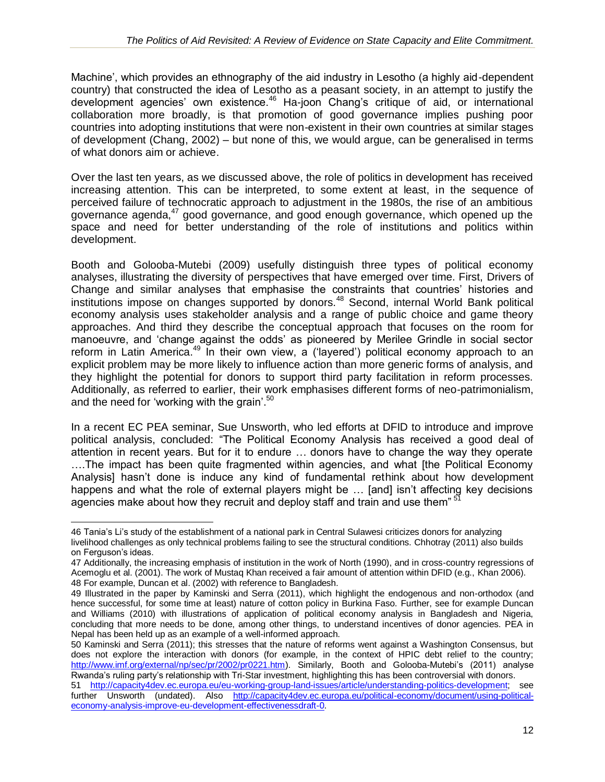Machine', which provides an ethnography of the aid industry in Lesotho (a highly aid-dependent country) that constructed the idea of Lesotho as a peasant society, in an attempt to justify the development agencies' own existence.<sup>46</sup> Ha-joon Chang's critique of aid, or international collaboration more broadly, is that promotion of good governance implies pushing poor countries into adopting institutions that were non-existent in their own countries at similar stages of development (Chang, 2002) – but none of this, we would argue, can be generalised in terms of what donors aim or achieve.

Over the last ten years, as we discussed above, the role of politics in development has received increasing attention. This can be interpreted, to some extent at least, in the sequence of perceived failure of technocratic approach to adjustment in the 1980s, the rise of an ambitious governance agenda,<sup>47</sup> good governance, and good enough governance, which opened up the space and need for better understanding of the role of institutions and politics within development.

Booth and Golooba-Mutebi (2009) usefully distinguish three types of political economy analyses, illustrating the diversity of perspectives that have emerged over time. First, Drivers of Change and similar analyses that emphasise the constraints that countries' histories and institutions impose on changes supported by donors.<sup>48</sup> Second, internal World Bank political economy analysis uses stakeholder analysis and a range of public choice and game theory approaches. And third they describe the conceptual approach that focuses on the room for manoeuvre, and 'change against the odds' as pioneered by Merilee Grindle in social sector reform in Latin America.<sup>49</sup> In their own view, a ('layered') political economy approach to an explicit problem may be more likely to influence action than more generic forms of analysis, and they highlight the potential for donors to support third party facilitation in reform processes. Additionally, as referred to earlier, their work emphasises different forms of neo-patrimonialism, and the need for 'working with the grain'. 50

In a recent EC PEA seminar, Sue Unsworth, who led efforts at DFID to introduce and improve political analysis, concluded: "The Political Economy Analysis has received a good deal of attention in recent years. But for it to endure … donors have to change the way they operate ….The impact has been quite fragmented within agencies, and what [the Political Economy Analysis] hasn't done is induce any kind of fundamental rethink about how development happens and what the role of external players might be … [and] isn't affecting key decisions agencies make about how they recruit and deploy staff and train and use them" $5$ 

<sup>46</sup> Tania's Li's study of the establishment of a national park in Central Sulawesi criticizes donors for analyzing livelihood challenges as only technical problems failing to see the structural conditions. Chhotray (2011) also builds on Ferguson's ideas.

<sup>47</sup> Additionally, the increasing emphasis of institution in the work of North (1990), and in cross-country regressions of Acemoglu et al. (2001). The work of Mustaq Khan received a fair amount of attention within DFID (e.g., Khan 2006). 48 For example, Duncan et al. (2002) with reference to Bangladesh.

<sup>49</sup> Illustrated in the paper by Kaminski and Serra (2011), which highlight the endogenous and non-orthodox (and hence successful, for some time at least) nature of cotton policy in Burkina Faso. Further, see for example Duncan and Williams (2010) with illustrations of application of political economy analysis in Bangladesh and Nigeria, concluding that more needs to be done, among other things, to understand incentives of donor agencies. PEA in Nepal has been held up as an example of a well-informed approach.

<sup>50</sup> Kaminski and Serra (2011); this stresses that the nature of reforms went against a Washington Consensus, but does not explore the interaction with donors (for example, in the context of HPIC debt relief to the country; [http://www.imf.org/external/np/sec/pr/2002/pr0221.htm\)](http://www.imf.org/external/np/sec/pr/2002/pr0221.htm). Similarly, Booth and Golooba-Mutebi's (2011) analyse Rwanda's ruling party's relationship with Tri-Star investment, highlighting this has been controversial with donors.

<sup>51</sup> [http://capacity4dev.ec.europa.eu/eu-working-group-land-issues/article/understanding-politics-development;](http://capacity4dev.ec.europa.eu/eu-working-group-land-issues/article/understanding-politics-development) see further Unsworth (undated). Also [http://capacity4dev.ec.europa.eu/political-economy/document/using-political](http://capacity4dev.ec.europa.eu/political-economy/document/using-political-economy-analysis-improve-eu-development-effectivenessdraft-0)[economy-analysis-improve-eu-development-effectivenessdraft-0.](http://capacity4dev.ec.europa.eu/political-economy/document/using-political-economy-analysis-improve-eu-development-effectivenessdraft-0)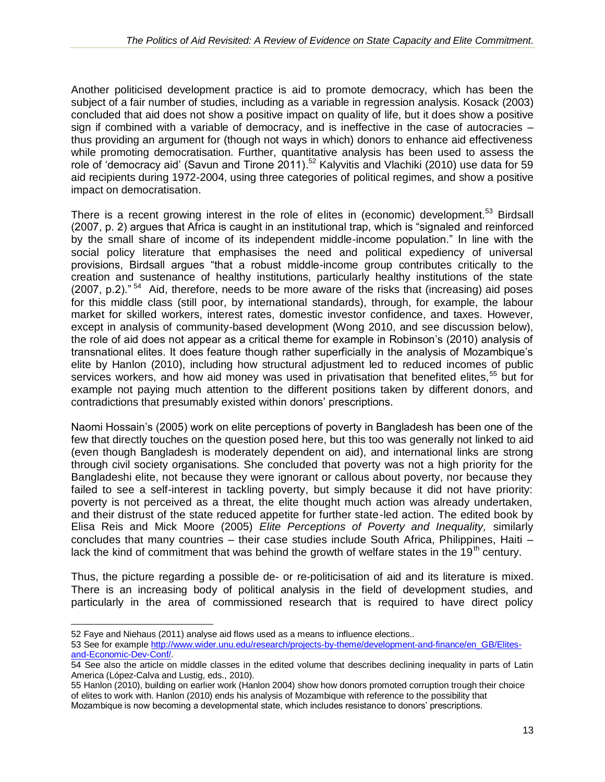Another politicised development practice is aid to promote democracy, which has been the subject of a fair number of studies, including as a variable in regression analysis. Kosack (2003) concluded that aid does not show a positive impact on quality of life, but it does show a positive sign if combined with a variable of democracy, and is ineffective in the case of autocracies – thus providing an argument for (though not ways in which) donors to enhance aid effectiveness while promoting democratisation. Further, quantitative analysis has been used to assess the role of 'democracy aid' (Savun and Tirone 2011).<sup>52</sup> Kalyvitis and Vlachiki (2010) use data for 59 aid recipients during 1972-2004, using three categories of political regimes, and show a positive impact on democratisation.

There is a recent growing interest in the role of elites in (economic) development.<sup>53</sup> Birdsall (2007, p. 2) argues that Africa is caught in an institutional trap, which is "signaled and reinforced by the small share of income of its independent middle-income population." In line with the social policy literature that emphasises the need and political expediency of universal provisions, Birdsall argues "that a robust middle-income group contributes critically to the creation and sustenance of healthy institutions, particularly healthy institutions of the state  $(2007, p.2)$ ."<sup>54</sup> Aid, therefore, needs to be more aware of the risks that (increasing) aid poses for this middle class (still poor, by international standards), through, for example, the labour market for skilled workers, interest rates, domestic investor confidence, and taxes. However, except in analysis of community-based development (Wong 2010, and see discussion below), the role of aid does not appear as a critical theme for example in Robinson's (2010) analysis of transnational elites. It does feature though rather superficially in the analysis of Mozambique's elite by Hanlon (2010), including how structural adjustment led to reduced incomes of public services workers, and how aid money was used in privatisation that benefited elites,<sup>55</sup> but for example not paying much attention to the different positions taken by different donors, and contradictions that presumably existed within donors' prescriptions.

Naomi Hossain's (2005) work on elite perceptions of poverty in Bangladesh has been one of the few that directly touches on the question posed here, but this too was generally not linked to aid (even though Bangladesh is moderately dependent on aid), and international links are strong through civil society organisations. She concluded that poverty was not a high priority for the Bangladeshi elite, not because they were ignorant or callous about poverty, nor because they failed to see a self-interest in tackling poverty, but simply because it did not have priority: poverty is not perceived as a threat, the elite thought much action was already undertaken, and their distrust of the state reduced appetite for further state-led action. The edited book by Elisa Reis and Mick Moore (2005) *Elite Perceptions of Poverty and Inequality,* similarly concludes that many countries – their case studies include South Africa, Philippines, Haiti – lack the kind of commitment that was behind the growth of welfare states in the 19<sup>th</sup> century.

Thus, the picture regarding a possible de- or re-politicisation of aid and its literature is mixed. There is an increasing body of political analysis in the field of development studies, and particularly in the area of commissioned research that is required to have direct policy

<sup>52</sup> Faye and Niehaus (2011) analyse aid flows used as a means to influence elections..

<sup>53</sup> See for exampl[e http://www.wider.unu.edu/research/projects-by-theme/development-and-finance/en\\_GB/Elites](http://www.wider.unu.edu/research/projects-by-theme/development-and-finance/en_GB/Elites-and-Economic-Dev-Conf/)[and-Economic-Dev-Conf/.](http://www.wider.unu.edu/research/projects-by-theme/development-and-finance/en_GB/Elites-and-Economic-Dev-Conf/)

<sup>54</sup> See also the article on middle classes in the edited volume that describes declining inequality in parts of Latin America (López-Calva and Lustig, eds., 2010).

<sup>55</sup> Hanlon (2010), building on earlier work (Hanlon 2004) show how donors promoted corruption trough their choice of elites to work with. Hanlon (2010) ends his analysis of Mozambique with reference to the possibility that Mozambique is now becoming a developmental state, which includes resistance to donors' prescriptions.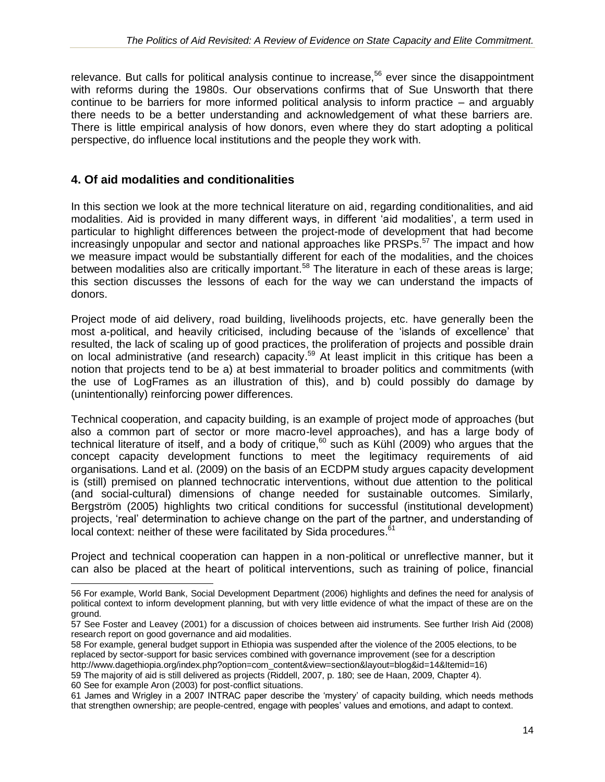relevance. But calls for political analysis continue to increase,<sup>56</sup> ever since the disappointment with reforms during the 1980s. Our observations confirms that of Sue Unsworth that there continue to be barriers for more informed political analysis to inform practice – and arguably there needs to be a better understanding and acknowledgement of what these barriers are. There is little empirical analysis of how donors, even where they do start adopting a political perspective, do influence local institutions and the people they work with.

#### **4. Of aid modalities and conditionalities**

In this section we look at the more technical literature on aid, regarding conditionalities, and aid modalities. Aid is provided in many different ways, in different 'aid modalities', a term used in particular to highlight differences between the project-mode of development that had become increasingly unpopular and sector and national approaches like PRSPs.<sup>57</sup> The impact and how we measure impact would be substantially different for each of the modalities, and the choices between modalities also are critically important.<sup>58</sup> The literature in each of these areas is large; this section discusses the lessons of each for the way we can understand the impacts of donors.

Project mode of aid delivery, road building, livelihoods projects, etc. have generally been the most a-political, and heavily criticised, including because of the 'islands of excellence' that resulted, the lack of scaling up of good practices, the proliferation of projects and possible drain on local administrative (and research) capacity.<sup>59</sup> At least implicit in this critique has been a notion that projects tend to be a) at best immaterial to broader politics and commitments (with the use of LogFrames as an illustration of this), and b) could possibly do damage by (unintentionally) reinforcing power differences.

Technical cooperation, and capacity building, is an example of project mode of approaches (but also a common part of sector or more macro-level approaches), and has a large body of technical literature of itself, and a body of critique,  $60$  such as Kühl (2009) who argues that the concept capacity development functions to meet the legitimacy requirements of aid organisations. Land et al. (2009) on the basis of an ECDPM study argues capacity development is (still) premised on planned technocratic interventions, without due attention to the political (and social-cultural) dimensions of change needed for sustainable outcomes. Similarly, Bergström (2005) highlights two critical conditions for successful (institutional development) projects, 'real' determination to achieve change on the part of the partner, and understanding of local context: neither of these were facilitated by Sida procedures.<sup>61</sup>

Project and technical cooperation can happen in a non-political or unreflective manner, but it can also be placed at the heart of political interventions, such as training of police, financial

60 See for example Aron (2003) for post-conflict situations.

<sup>56</sup> For example, World Bank, Social Development Department (2006) highlights and defines the need for analysis of political context to inform development planning, but with very little evidence of what the impact of these are on the ground.

<sup>57</sup> See Foster and Leavey (2001) for a discussion of choices between aid instruments. See further Irish Aid (2008) research report on good governance and aid modalities.

<sup>58</sup> For example, general budget support in Ethiopia was suspended after the violence of the 2005 elections, to be replaced by sector-support for basic services combined with governance improvement (see for a description http://www.dagethiopia.org/index.php?option=com\_content&view=section&layout=blog&id=14&Itemid=16) 59 The majority of aid is still delivered as projects (Riddell, 2007, p. 180; see de Haan, 2009, Chapter 4).

<sup>61</sup> James and Wrigley in a 2007 INTRAC paper describe the 'mystery' of capacity building, which needs methods that strengthen ownership; are people-centred, engage with peoples' values and emotions, and adapt to context.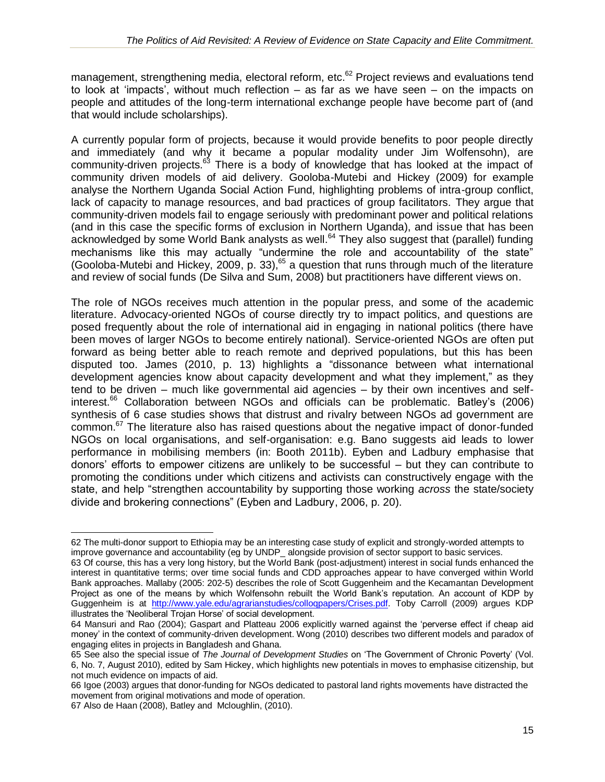management, strengthening media, electoral reform, etc.<sup>62</sup> Project reviews and evaluations tend to look at 'impacts', without much reflection – as far as we have seen – on the impacts on people and attitudes of the long-term international exchange people have become part of (and that would include scholarships).

A currently popular form of projects, because it would provide benefits to poor people directly and immediately (and why it became a popular modality under Jim Wolfensohn), are community-driven projects.<sup>63</sup> There is a body of knowledge that has looked at the impact of community driven models of aid delivery. Gooloba-Mutebi and Hickey (2009) for example analyse the Northern Uganda Social Action Fund, highlighting problems of intra-group conflict, lack of capacity to manage resources, and bad practices of group facilitators. They argue that community-driven models fail to engage seriously with predominant power and political relations (and in this case the specific forms of exclusion in Northern Uganda), and issue that has been acknowledged by some World Bank analysts as well.<sup>64</sup> They also suggest that (parallel) funding mechanisms like this may actually "undermine the role and accountability of the state" (Gooloba-Mutebi and Hickey, 2009, p. 33), $65$  a question that runs through much of the literature and review of social funds (De Silva and Sum, 2008) but practitioners have different views on.

The role of NGOs receives much attention in the popular press, and some of the academic literature. Advocacy-oriented NGOs of course directly try to impact politics, and questions are posed frequently about the role of international aid in engaging in national politics (there have been moves of larger NGOs to become entirely national). Service-oriented NGOs are often put forward as being better able to reach remote and deprived populations, but this has been disputed too. James (2010, p. 13) highlights a "dissonance between what international development agencies know about capacity development and what they implement," as they tend to be driven – much like governmental aid agencies – by their own incentives and selfinterest.<sup>66</sup> Collaboration between NGOs and officials can be problematic. Batley's (2006) synthesis of 6 case studies shows that distrust and rivalry between NGOs ad government are common.<sup>67</sup> The literature also has raised questions about the negative impact of donor-funded NGOs on local organisations, and self-organisation: e.g. Bano suggests aid leads to lower performance in mobilising members (in: Booth 2011b). Eyben and Ladbury emphasise that donors' efforts to empower citizens are unlikely to be successful – but they can contribute to promoting the conditions under which citizens and activists can constructively engage with the state, and help "strengthen accountability by supporting those working *across* the state/society divide and brokering connections" (Eyben and Ladbury, 2006, p. 20).

<sup>62</sup> The multi-donor support to Ethiopia may be an interesting case study of explicit and strongly-worded attempts to improve governance and accountability (eg by UNDP\_ alongside provision of sector support to basic services.

<sup>63</sup> Of course, this has a very long history, but the World Bank (post-adjustment) interest in social funds enhanced the interest in quantitative terms; over time social funds and CDD approaches appear to have converged within World Bank approaches. Mallaby (2005: 202-5) describes the role of Scott Guggenheim and the Kecamantan Development Project as one of the means by which Wolfensohn rebuilt the World Bank's reputation. An account of KDP by Guggenheim is at http://www.yale.edu/agrarianstudies/collogpapers/Crises.pdf. Toby Carroll (2009) argues KDP illustrates the 'Neoliberal Trojan Horse' of social development.

<sup>64</sup> Mansuri and Rao (2004); Gaspart and Platteau 2006 explicitly warned against the 'perverse effect if cheap aid money' in the context of community-driven development. Wong (2010) describes two different models and paradox of engaging elites in projects in Bangladesh and Ghana.

<sup>65</sup> See also the special issue of *The Journal of Development Studies* on 'The Government of Chronic Poverty' (Vol. 6, No. 7, August 2010), edited by Sam Hickey, which highlights new potentials in moves to emphasise citizenship, but not much evidence on impacts of aid.

<sup>66</sup> Igoe (2003) argues that donor-funding for NGOs dedicated to pastoral land rights movements have distracted the movement from original motivations and mode of operation.

<sup>67</sup> Also de Haan (2008), Batley and Mcloughlin, (2010).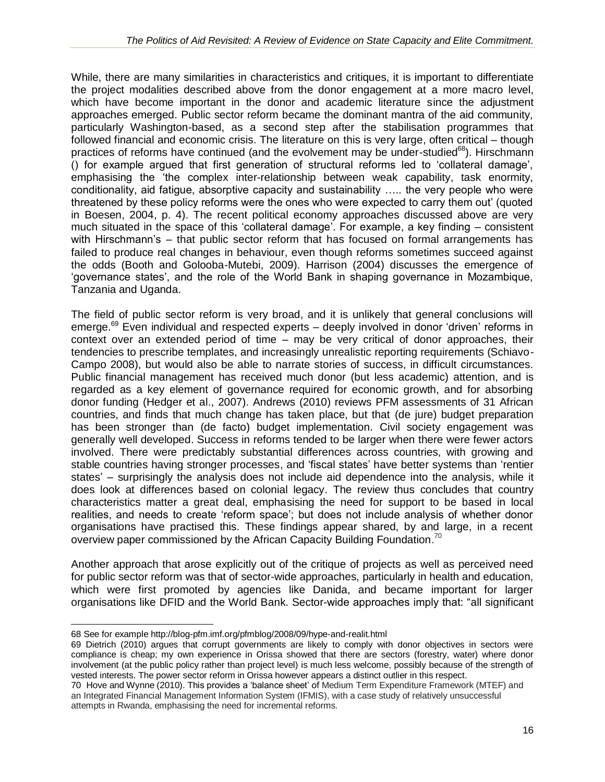While, there are many similarities in characteristics and critiques, it is important to differentiate the project modalities described above from the donor engagement at a more macro level, which have become important in the donor and academic literature since the adjustment approaches emerged. Public sector reform became the dominant mantra of the aid community, particularly Washington-based, as a second step after the stabilisation programmes that followed financial and economic crisis. The literature on this is very large, often critical – though practices of reforms have continued (and the evolvement may be under-studied $^{68}$ ). Hirschmann () for example argued that first generation of structural reforms led to 'collateral damage', emphasising the 'the complex inter-relationship between weak capability, task enormity, conditionality, aid fatigue, absorptive capacity and sustainability ….. the very people who were threatened by these policy reforms were the ones who were expected to carry them out' (quoted in Boesen, 2004, p. 4). The recent political economy approaches discussed above are very much situated in the space of this 'collateral damage'. For example, a key finding – consistent with Hirschmann's – that public sector reform that has focused on formal arrangements has failed to produce real changes in behaviour, even though reforms sometimes succeed against the odds (Booth and Golooba-Mutebi, 2009). Harrison (2004) discusses the emergence of 'governance states', and the role of the World Bank in shaping governance in Mozambique, Tanzania and Uganda.

The field of public sector reform is very broad, and it is unlikely that general conclusions will emerge.<sup>69</sup> Even individual and respected experts – deeply involved in donor 'driven' reforms in context over an extended period of time – may be very critical of donor approaches, their tendencies to prescribe templates, and increasingly unrealistic reporting requirements (Schiavo-Campo 2008), but would also be able to narrate stories of success, in difficult circumstances. Public financial management has received much donor (but less academic) attention, and is regarded as a key element of governance required for economic growth, and for absorbing donor funding (Hedger et al., 2007). Andrews (2010) reviews PFM assessments of 31 African countries, and finds that much change has taken place, but that (de jure) budget preparation has been stronger than (de facto) budget implementation. Civil society engagement was generally well developed. Success in reforms tended to be larger when there were fewer actors involved. There were predictably substantial differences across countries, with growing and stable countries having stronger processes, and 'fiscal states' have better systems than 'rentier states' – surprisingly the analysis does not include aid dependence into the analysis, while it does look at differences based on colonial legacy. The review thus concludes that country characteristics matter a great deal, emphasising the need for support to be based in local realities, and needs to create 'reform space'; but does not include analysis of whether donor organisations have practised this. These findings appear shared, by and large, in a recent overview paper commissioned by the African Capacity Building Foundation.<sup>70</sup>

Another approach that arose explicitly out of the critique of projects as well as perceived need for public sector reform was that of sector-wide approaches, particularly in health and education, which were first promoted by agencies like Danida, and became important for larger organisations like DFID and the World Bank. Sector-wide approaches imply that: "all significant

 $\overline{a}$ 68 See for example http://blog-pfm.imf.org/pfmblog/2008/09/hype-and-realit.html

<sup>69</sup> Dietrich (2010) argues that corrupt governments are likely to comply with donor objectives in sectors were compliance is cheap; my own experience in Orissa showed that there are sectors (forestry, water) where donor involvement (at the public policy rather than project level) is much less welcome, possibly because of the strength of vested interests. The power sector reform in Orissa however appears a distinct outlier in this respect.

<sup>70</sup> Hove and Wynne (2010). This provides a 'balance sheet' of Medium Term Expenditure Framework (MTEF) and an Integrated Financial Management Information System (IFMIS), with a case study of relatively unsuccessful attempts in Rwanda, emphasising the need for incremental reforms.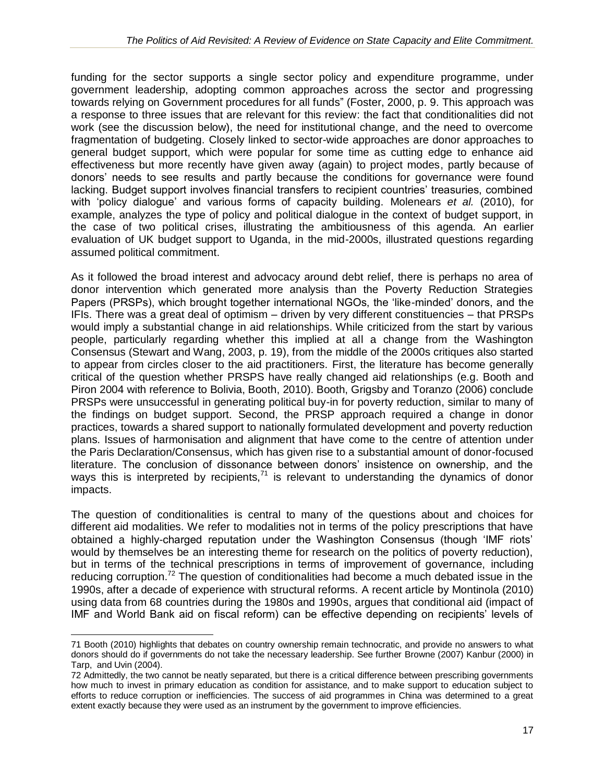funding for the sector supports a single sector policy and expenditure programme, under government leadership, adopting common approaches across the sector and progressing towards relying on Government procedures for all funds" (Foster, 2000, p. 9. This approach was a response to three issues that are relevant for this review: the fact that conditionalities did not work (see the discussion below), the need for institutional change, and the need to overcome fragmentation of budgeting. Closely linked to sector-wide approaches are donor approaches to general budget support, which were popular for some time as cutting edge to enhance aid effectiveness but more recently have given away (again) to project modes, partly because of donors' needs to see results and partly because the conditions for governance were found lacking. Budget support involves financial transfers to recipient countries' treasuries, combined with 'policy dialogue' and various forms of capacity building. Molenears *et al.* (2010), for example, analyzes the type of policy and political dialogue in the context of budget support, in the case of two political crises, illustrating the ambitiousness of this agenda. An earlier evaluation of UK budget support to Uganda, in the mid-2000s, illustrated questions regarding assumed political commitment.

As it followed the broad interest and advocacy around debt relief, there is perhaps no area of donor intervention which generated more analysis than the Poverty Reduction Strategies Papers (PRSPs), which brought together international NGOs, the 'like-minded' donors, and the IFIs. There was a great deal of optimism – driven by very different constituencies – that PRSPs would imply a substantial change in aid relationships. While criticized from the start by various people, particularly regarding whether this implied at all a change from the Washington Consensus (Stewart and Wang, 2003, p. 19), from the middle of the 2000s critiques also started to appear from circles closer to the aid practitioners. First, the literature has become generally critical of the question whether PRSPS have really changed aid relationships (e.g. Booth and Piron 2004 with reference to Bolivia, Booth, 2010). Booth, Grigsby and Toranzo (2006) conclude PRSPs were unsuccessful in generating political buy-in for poverty reduction, similar to many of the findings on budget support. Second, the PRSP approach required a change in donor practices, towards a shared support to nationally formulated development and poverty reduction plans. Issues of harmonisation and alignment that have come to the centre of attention under the Paris Declaration/Consensus, which has given rise to a substantial amount of donor-focused literature. The conclusion of dissonance between donors' insistence on ownership, and the ways this is interpreted by recipients, $71$  is relevant to understanding the dynamics of donor impacts.

The question of conditionalities is central to many of the questions about and choices for different aid modalities. We refer to modalities not in terms of the policy prescriptions that have obtained a highly-charged reputation under the Washington Consensus (though 'IMF riots' would by themselves be an interesting theme for research on the politics of poverty reduction), but in terms of the technical prescriptions in terms of improvement of governance, including reducing corruption.<sup>72</sup> The question of conditionalities had become a much debated issue in the 1990s, after a decade of experience with structural reforms. A recent article by Montinola (2010) using data from 68 countries during the 1980s and 1990s, argues that conditional aid (impact of IMF and World Bank aid on fiscal reform) can be effective depending on recipients' levels of

 $\overline{a}$ 71 Booth (2010) highlights that debates on country ownership remain technocratic, and provide no answers to what donors should do if governments do not take the necessary leadership. See further Browne (2007) Kanbur (2000) in Tarp, and Uvin (2004).

<sup>72</sup> Admittedly, the two cannot be neatly separated, but there is a critical difference between prescribing governments how much to invest in primary education as condition for assistance, and to make support to education subject to efforts to reduce corruption or inefficiencies. The success of aid programmes in China was determined to a great extent exactly because they were used as an instrument by the government to improve efficiencies.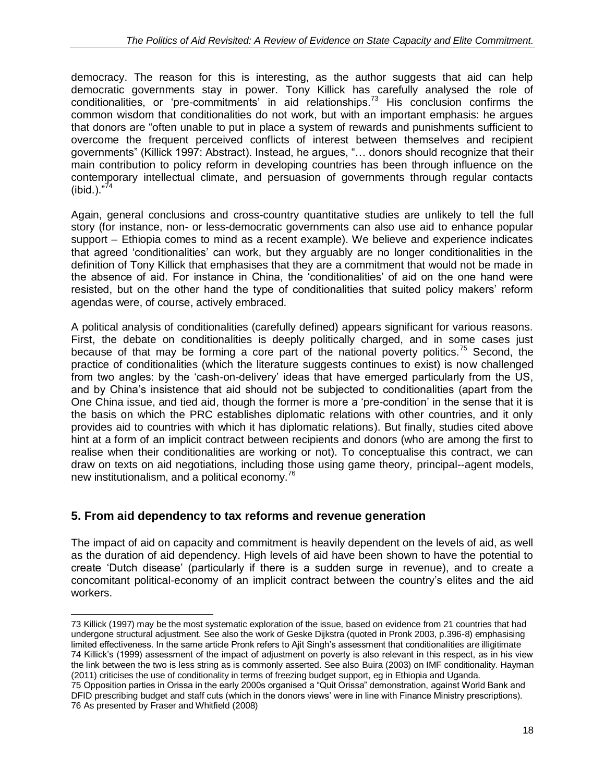democracy. The reason for this is interesting, as the author suggests that aid can help democratic governments stay in power. Tony Killick has carefully analysed the role of conditionalities, or 'pre-commitments' in aid relationships.<sup>73</sup> His conclusion confirms the common wisdom that conditionalities do not work, but with an important emphasis: he argues that donors are "often unable to put in place a system of rewards and punishments sufficient to overcome the frequent perceived conflicts of interest between themselves and recipient governments" (Killick 1997: Abstract). Instead, he argues, "… donors should recognize that their main contribution to policy reform in developing countries has been through influence on the contemporary intellectual climate, and persuasion of governments through regular contacts (ibid.). $^{774}$ 

Again, general conclusions and cross-country quantitative studies are unlikely to tell the full story (for instance, non- or less-democratic governments can also use aid to enhance popular support – Ethiopia comes to mind as a recent example). We believe and experience indicates that agreed 'conditionalities' can work, but they arguably are no longer conditionalities in the definition of Tony Killick that emphasises that they are a commitment that would not be made in the absence of aid. For instance in China, the 'conditionalities' of aid on the one hand were resisted, but on the other hand the type of conditionalities that suited policy makers' reform agendas were, of course, actively embraced.

A political analysis of conditionalities (carefully defined) appears significant for various reasons. First, the debate on conditionalities is deeply politically charged, and in some cases just because of that may be forming a core part of the national poverty politics.<sup>75</sup> Second, the practice of conditionalities (which the literature suggests continues to exist) is now challenged from two angles: by the 'cash-on-delivery' ideas that have emerged particularly from the US, and by China's insistence that aid should not be subjected to conditionalities (apart from the One China issue, and tied aid, though the former is more a 'pre-condition' in the sense that it is the basis on which the PRC establishes diplomatic relations with other countries, and it only provides aid to countries with which it has diplomatic relations). But finally, studies cited above hint at a form of an implicit contract between recipients and donors (who are among the first to realise when their conditionalities are working or not). To conceptualise this contract, we can draw on texts on aid negotiations, including those using game theory, principal--agent models, new institutionalism, and a political economy. $^{76}$ 

## **5. From aid dependency to tax reforms and revenue generation**

 $\overline{a}$ 

The impact of aid on capacity and commitment is heavily dependent on the levels of aid, as well as the duration of aid dependency. High levels of aid have been shown to have the potential to create 'Dutch disease' (particularly if there is a sudden surge in revenue), and to create a concomitant political-economy of an implicit contract between the country's elites and the aid workers.

<sup>73</sup> Killick (1997) may be the most systematic exploration of the issue, based on evidence from 21 countries that had undergone structural adjustment. See also the work of Geske Dijkstra (quoted in Pronk 2003, p.396-8) emphasising limited effectiveness. In the same article Pronk refers to Ajit Singh's assessment that conditionalities are illigitimate 74 Killick's (1999) assessment of the impact of adjustment on poverty is also relevant in this respect, as in his view the link between the two is less string as is commonly asserted. See also Buira (2003) on IMF conditionality. Hayman (2011) criticises the use of conditionality in terms of freezing budget support, eg in Ethiopia and Uganda.

<sup>75</sup> Opposition parties in Orissa in the early 2000s organised a "Quit Orissa" demonstration, against World Bank and DFID prescribing budget and staff cuts (which in the donors views' were in line with Finance Ministry prescriptions). 76 As presented by Fraser and Whitfield (2008)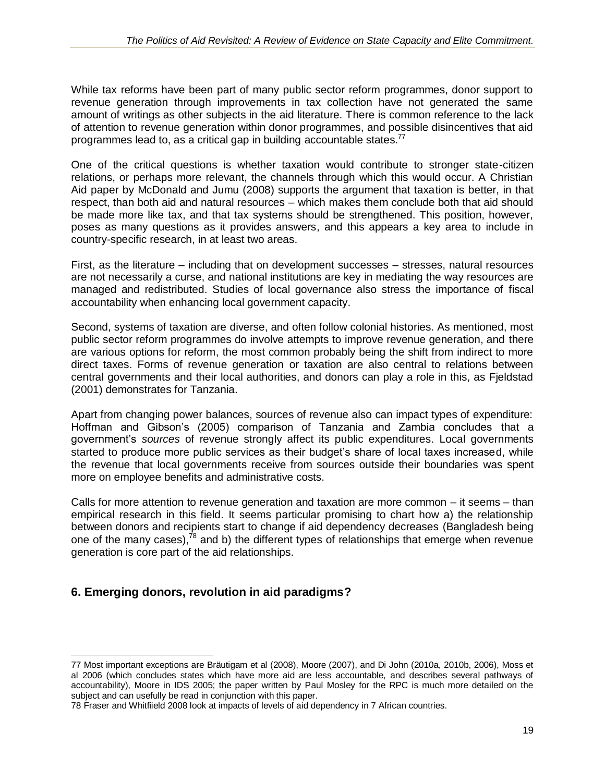While tax reforms have been part of many public sector reform programmes, donor support to revenue generation through improvements in tax collection have not generated the same amount of writings as other subjects in the aid literature. There is common reference to the lack of attention to revenue generation within donor programmes, and possible disincentives that aid programmes lead to, as a critical gap in building accountable states.<sup>77</sup>

One of the critical questions is whether taxation would contribute to stronger state-citizen relations, or perhaps more relevant, the channels through which this would occur. A Christian Aid paper by McDonald and Jumu (2008) supports the argument that taxation is better, in that respect, than both aid and natural resources – which makes them conclude both that aid should be made more like tax, and that tax systems should be strengthened. This position, however, poses as many questions as it provides answers, and this appears a key area to include in country-specific research, in at least two areas.

First, as the literature – including that on development successes – stresses, natural resources are not necessarily a curse, and national institutions are key in mediating the way resources are managed and redistributed. Studies of local governance also stress the importance of fiscal accountability when enhancing local government capacity.

Second, systems of taxation are diverse, and often follow colonial histories. As mentioned, most public sector reform programmes do involve attempts to improve revenue generation, and there are various options for reform, the most common probably being the shift from indirect to more direct taxes. Forms of revenue generation or taxation are also central to relations between central governments and their local authorities, and donors can play a role in this, as Fjeldstad (2001) demonstrates for Tanzania.

Apart from changing power balances, sources of revenue also can impact types of expenditure: Hoffman and Gibson's (2005) comparison of Tanzania and Zambia concludes that a government's *sources* of revenue strongly affect its public expenditures. Local governments started to produce more public services as their budget's share of local taxes increased, while the revenue that local governments receive from sources outside their boundaries was spent more on employee benefits and administrative costs.

Calls for more attention to revenue generation and taxation are more common – it seems – than empirical research in this field. It seems particular promising to chart how a) the relationship between donors and recipients start to change if aid dependency decreases (Bangladesh being one of the many cases), $^{78}$  and b) the different types of relationships that emerge when revenue generation is core part of the aid relationships.

## **6. Emerging donors, revolution in aid paradigms?**

<sup>77</sup> Most important exceptions are Bräutigam et al (2008), Moore (2007), and Di John (2010a, 2010b, 2006), Moss et al 2006 (which concludes states which have more aid are less accountable, and describes several pathways of accountability), Moore in IDS 2005; the paper written by Paul Mosley for the RPC is much more detailed on the subject and can usefully be read in conjunction with this paper.

<sup>78</sup> Fraser and Whitfiield 2008 look at impacts of levels of aid dependency in 7 African countries.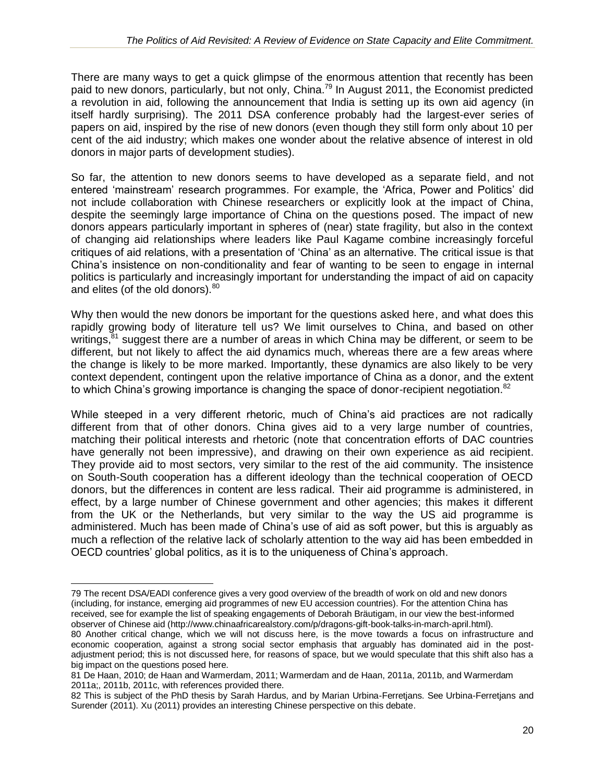There are many ways to get a quick glimpse of the enormous attention that recently has been paid to new donors, particularly, but not only, China.<sup>79</sup> In August 2011, the Economist predicted a revolution in aid, following the announcement that India is setting up its own aid agency (in itself hardly surprising). The 2011 DSA conference probably had the largest-ever series of papers on aid, inspired by the rise of new donors (even though they still form only about 10 per cent of the aid industry; which makes one wonder about the relative absence of interest in old donors in major parts of development studies).

So far, the attention to new donors seems to have developed as a separate field, and not entered 'mainstream' research programmes. For example, the 'Africa, Power and Politics' did not include collaboration with Chinese researchers or explicitly look at the impact of China, despite the seemingly large importance of China on the questions posed. The impact of new donors appears particularly important in spheres of (near) state fragility, but also in the context of changing aid relationships where leaders like Paul Kagame combine increasingly forceful critiques of aid relations, with a presentation of 'China' as an alternative. The critical issue is that China's insistence on non-conditionality and fear of wanting to be seen to engage in internal politics is particularly and increasingly important for understanding the impact of aid on capacity and elites (of the old donors).<sup>80</sup>

Why then would the new donors be important for the questions asked here, and what does this rapidly growing body of literature tell us? We limit ourselves to China, and based on other writings, $^{\overline{8}1}$  suggest there are a number of areas in which China may be different, or seem to be different, but not likely to affect the aid dynamics much, whereas there are a few areas where the change is likely to be more marked. Importantly, these dynamics are also likely to be very context dependent, contingent upon the relative importance of China as a donor, and the extent to which China's growing importance is changing the space of donor-recipient negotiation. $82$ 

While steeped in a very different rhetoric, much of China's aid practices are not radically different from that of other donors. China gives aid to a very large number of countries, matching their political interests and rhetoric (note that concentration efforts of DAC countries have generally not been impressive), and drawing on their own experience as aid recipient. They provide aid to most sectors, very similar to the rest of the aid community. The insistence on South-South cooperation has a different ideology than the technical cooperation of OECD donors, but the differences in content are less radical. Their aid programme is administered, in effect, by a large number of Chinese government and other agencies; this makes it different from the UK or the Netherlands, but very similar to the way the US aid programme is administered. Much has been made of China's use of aid as soft power, but this is arguably as much a reflection of the relative lack of scholarly attention to the way aid has been embedded in OECD countries' global politics, as it is to the uniqueness of China's approach.

<sup>79</sup> The recent DSA/EADI conference gives a very good overview of the breadth of work on old and new donors (including, for instance, emerging aid programmes of new EU accession countries). For the attention China has received, see for example the list of speaking engagements of Deborah Bräutigam, in our view the best-informed observer of Chinese aid (http://www.chinaafricarealstory.com/p/dragons-gift-book-talks-in-march-april.html).

<sup>80</sup> Another critical change, which we will not discuss here, is the move towards a focus on infrastructure and economic cooperation, against a strong social sector emphasis that arguably has dominated aid in the postadjustment period; this is not discussed here, for reasons of space, but we would speculate that this shift also has a big impact on the questions posed here.

<sup>81</sup> De Haan, 2010; de Haan and Warmerdam, 2011; Warmerdam and de Haan, 2011a, 2011b, and Warmerdam 2011a;, 2011b, 2011c, with references provided there.

<sup>82</sup> This is subject of the PhD thesis by Sarah Hardus, and by Marian Urbina-Ferretjans. See Urbina-Ferretjans and Surender (2011). Xu (2011) provides an interesting Chinese perspective on this debate.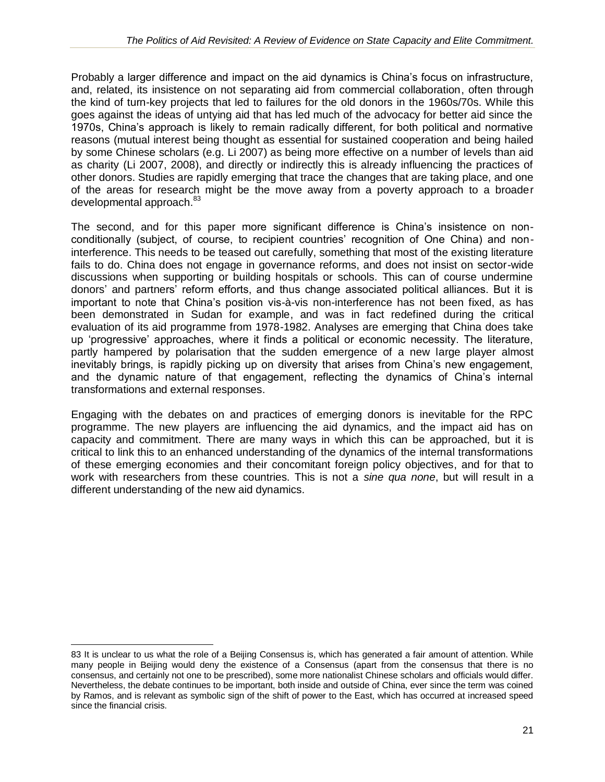Probably a larger difference and impact on the aid dynamics is China's focus on infrastructure, and, related, its insistence on not separating aid from commercial collaboration, often through the kind of turn-key projects that led to failures for the old donors in the 1960s/70s. While this goes against the ideas of untying aid that has led much of the advocacy for better aid since the 1970s, China's approach is likely to remain radically different, for both political and normative reasons (mutual interest being thought as essential for sustained cooperation and being hailed by some Chinese scholars (e.g. Li 2007) as being more effective on a number of levels than aid as charity (Li 2007, 2008), and directly or indirectly this is already influencing the practices of other donors. Studies are rapidly emerging that trace the changes that are taking place, and one of the areas for research might be the move away from a poverty approach to a broader developmental approach.<sup>83</sup>

The second, and for this paper more significant difference is China's insistence on nonconditionally (subject, of course, to recipient countries' recognition of One China) and noninterference. This needs to be teased out carefully, something that most of the existing literature fails to do. China does not engage in governance reforms, and does not insist on sector-wide discussions when supporting or building hospitals or schools. This can of course undermine donors' and partners' reform efforts, and thus change associated political alliances. But it is important to note that China's position vis-à-vis non-interference has not been fixed, as has been demonstrated in Sudan for example, and was in fact redefined during the critical evaluation of its aid programme from 1978-1982. Analyses are emerging that China does take up 'progressive' approaches, where it finds a political or economic necessity. The literature, partly hampered by polarisation that the sudden emergence of a new large player almost inevitably brings, is rapidly picking up on diversity that arises from China's new engagement, and the dynamic nature of that engagement, reflecting the dynamics of China's internal transformations and external responses.

Engaging with the debates on and practices of emerging donors is inevitable for the RPC programme. The new players are influencing the aid dynamics, and the impact aid has on capacity and commitment. There are many ways in which this can be approached, but it is critical to link this to an enhanced understanding of the dynamics of the internal transformations of these emerging economies and their concomitant foreign policy objectives, and for that to work with researchers from these countries. This is not a *sine qua none*, but will result in a different understanding of the new aid dynamics.

 $\overline{a}$ 83 It is unclear to us what the role of a Beijing Consensus is, which has generated a fair amount of attention. While many people in Beijing would deny the existence of a Consensus (apart from the consensus that there is no consensus, and certainly not one to be prescribed), some more nationalist Chinese scholars and officials would differ. Nevertheless, the debate continues to be important, both inside and outside of China, ever since the term was coined by Ramos, and is relevant as symbolic sign of the shift of power to the East, which has occurred at increased speed since the financial crisis.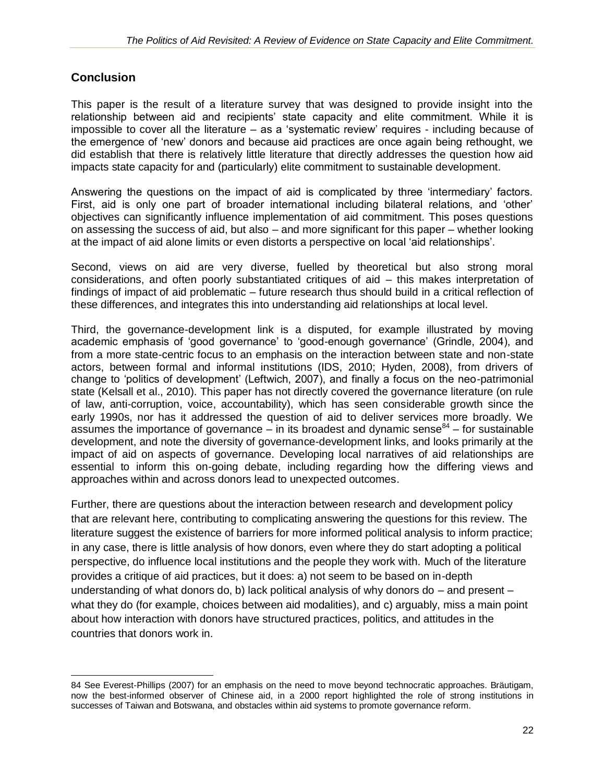## **Conclusion**

 $\overline{a}$ 

This paper is the result of a literature survey that was designed to provide insight into the relationship between aid and recipients' state capacity and elite commitment. While it is impossible to cover all the literature – as a 'systematic review' requires - including because of the emergence of 'new' donors and because aid practices are once again being rethought, we did establish that there is relatively little literature that directly addresses the question how aid impacts state capacity for and (particularly) elite commitment to sustainable development.

Answering the questions on the impact of aid is complicated by three 'intermediary' factors. First, aid is only one part of broader international including bilateral relations, and 'other' objectives can significantly influence implementation of aid commitment. This poses questions on assessing the success of aid, but also – and more significant for this paper – whether looking at the impact of aid alone limits or even distorts a perspective on local 'aid relationships'.

Second, views on aid are very diverse, fuelled by theoretical but also strong moral considerations, and often poorly substantiated critiques of aid – this makes interpretation of findings of impact of aid problematic – future research thus should build in a critical reflection of these differences, and integrates this into understanding aid relationships at local level.

Third, the governance-development link is a disputed, for example illustrated by moving academic emphasis of 'good governance' to 'good-enough governance' (Grindle, 2004), and from a more state-centric focus to an emphasis on the interaction between state and non-state actors, between formal and informal institutions (IDS, 2010; Hyden, 2008), from drivers of change to 'politics of development' (Leftwich, 2007), and finally a focus on the neo-patrimonial state (Kelsall et al., 2010). This paper has not directly covered the governance literature (on rule of law, anti-corruption, voice, accountability), which has seen considerable growth since the early 1990s, nor has it addressed the question of aid to deliver services more broadly. We assumes the importance of governance  $-$  in its broadest and dynamic sense $^{84}$  – for sustainable development, and note the diversity of governance-development links, and looks primarily at the impact of aid on aspects of governance. Developing local narratives of aid relationships are essential to inform this on-going debate, including regarding how the differing views and approaches within and across donors lead to unexpected outcomes.

Further, there are questions about the interaction between research and development policy that are relevant here, contributing to complicating answering the questions for this review. The literature suggest the existence of barriers for more informed political analysis to inform practice; in any case, there is little analysis of how donors, even where they do start adopting a political perspective, do influence local institutions and the people they work with. Much of the literature provides a critique of aid practices, but it does: a) not seem to be based on in-depth understanding of what donors do, b) lack political analysis of why donors do – and present – what they do (for example, choices between aid modalities), and c) arguably, miss a main point about how interaction with donors have structured practices, politics, and attitudes in the countries that donors work in.

<sup>84</sup> See Everest-Phillips (2007) for an emphasis on the need to move beyond technocratic approaches. Bräutigam, now the best-informed observer of Chinese aid, in a 2000 report highlighted the role of strong institutions in successes of Taiwan and Botswana, and obstacles within aid systems to promote governance reform.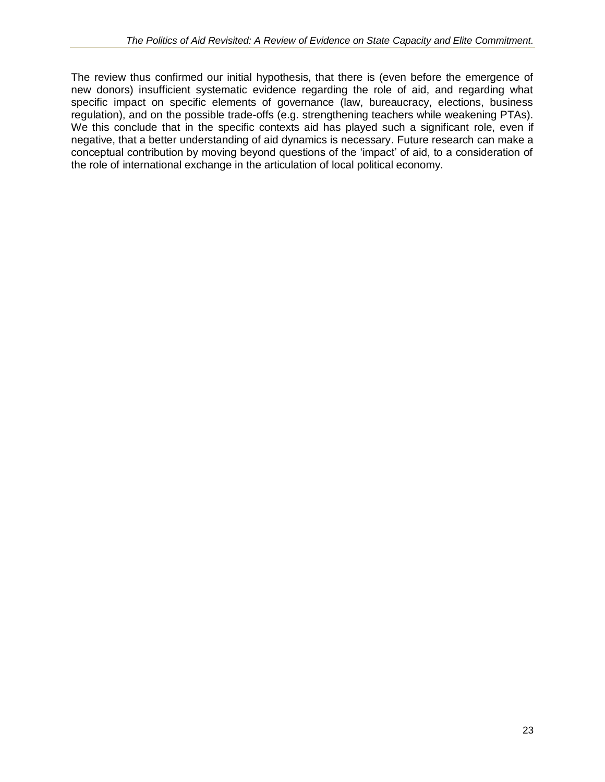The review thus confirmed our initial hypothesis, that there is (even before the emergence of new donors) insufficient systematic evidence regarding the role of aid, and regarding what specific impact on specific elements of governance (law, bureaucracy, elections, business regulation), and on the possible trade-offs (e.g. strengthening teachers while weakening PTAs). We this conclude that in the specific contexts aid has played such a significant role, even if negative, that a better understanding of aid dynamics is necessary. Future research can make a conceptual contribution by moving beyond questions of the 'impact' of aid, to a consideration of the role of international exchange in the articulation of local political economy.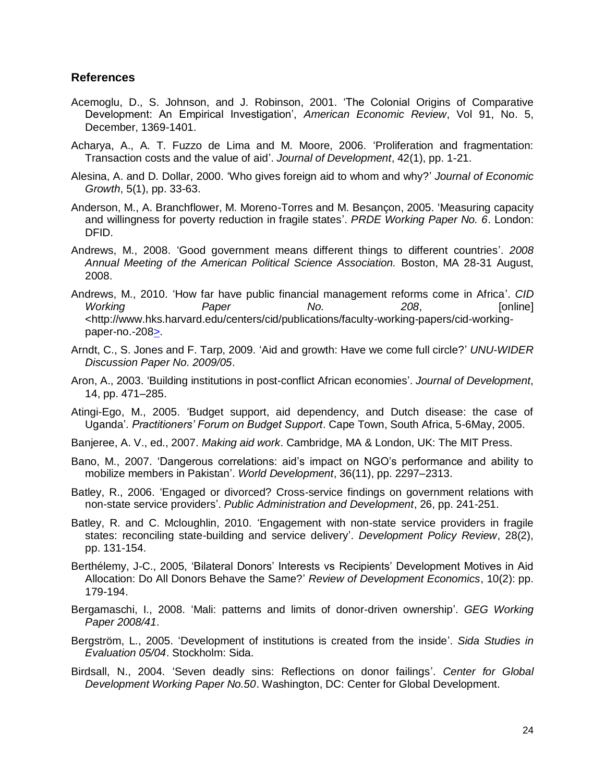#### **References**

- Acemoglu, D., S. Johnson, and J. Robinson, 2001. 'The Colonial Origins of Comparative Development: An Empirical Investigation', *American Economic Review*, Vol 91, No. 5, December, 1369-1401.
- Acharya, A., A. T. Fuzzo de Lima and M. Moore, 2006. 'Proliferation and fragmentation: Transaction costs and the value of aid'. *Journal of Development*, 42(1), pp. 1-21.
- Alesina, A. and D. Dollar, 2000. 'Who gives foreign aid to whom and why?' *Journal of Economic Growth*, 5(1), pp. 33-63.
- Anderson, M., A. Branchflower, M. Moreno-Torres and M. Besançon, 2005. 'Measuring capacity and willingness for poverty reduction in fragile states'. *PRDE Working Paper No. 6*. London: DFID.
- Andrews, M., 2008. 'Good government means different things to different countries'. *2008 Annual Meeting of the American Political Science Association.* Boston, MA 28-31 August, 2008.
- Andrews, M., 2010. 'How far have public financial management reforms come in Africa'. *CID Working Paper No. 208*, [online] <http://www.hks.harvard.edu/centers/cid/publications/faculty-working-papers/cid-workingpaper-no.-208>.
- Arndt, C., S. Jones and F. Tarp, 2009. 'Aid and growth: Have we come full circle?' *UNU-WIDER Discussion Paper No. 2009/05*.
- Aron, A., 2003. 'Building institutions in post-conflict African economies'. *Journal of Development*, 14, pp. 471–285.
- Atingi-Ego, M., 2005. 'Budget support, aid dependency, and Dutch disease: the case of Uganda'. *Practitioners' Forum on Budget Support*. Cape Town, South Africa, 5-6May, 2005.
- Banjeree, A. V., ed., 2007. *Making aid work*. Cambridge, MA & London, UK: The MIT Press.
- Bano, M., 2007. 'Dangerous correlations: aid's impact on NGO's performance and ability to mobilize members in Pakistan'. *World Development*, 36(11), pp. 2297–2313.
- Batley, R., 2006. 'Engaged or divorced? Cross-service findings on government relations with non-state service providers'. *Public Administration and Development*, 26, pp. 241-251.
- Batley, R. and C. Mcloughlin, 2010. 'Engagement with non-state service providers in fragile states: reconciling state-building and service delivery'. *Development Policy Review*, 28(2), pp. 131-154.
- Berthélemy, J-C., 2005, 'Bilateral Donors' Interests vs Recipients' Development Motives in Aid Allocation: Do All Donors Behave the Same?' *Review of Development Economics*, 10(2): pp. 179-194.
- Bergamaschi, I., 2008. 'Mali: patterns and limits of donor-driven ownership'. *GEG Working Paper 2008/41*.
- Bergström, L., 2005. 'Development of institutions is created from the inside'. *Sida Studies in Evaluation 05/04*. Stockholm: Sida.
- Birdsall, N., 2004. 'Seven deadly sins: Reflections on donor failings'. *Center for Global Development Working Paper No.50*. Washington, DC: Center for Global Development.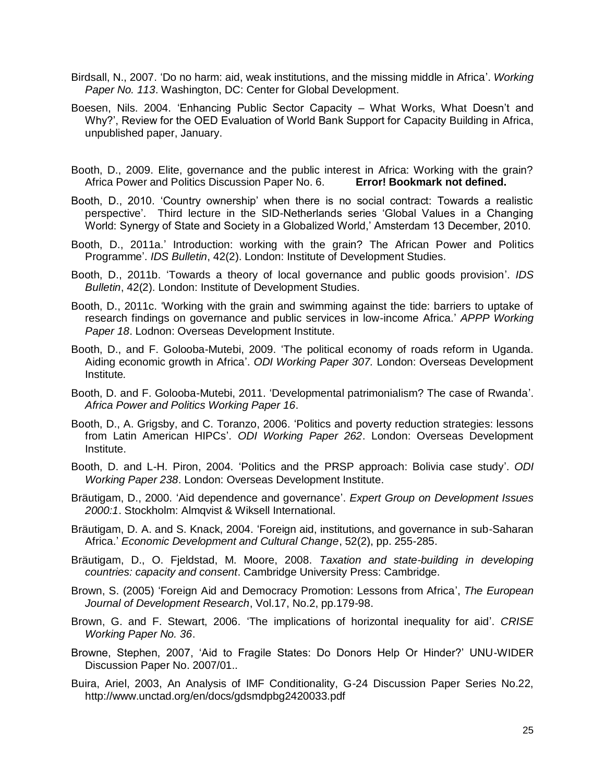- Birdsall, N., 2007. 'Do no harm: aid, weak institutions, and the missing middle in Africa'. *Working Paper No. 113*. Washington, DC: Center for Global Development.
- Boesen, Nils. 2004. 'Enhancing Public Sector Capacity What Works, What Doesn't and Why?', Review for the OED Evaluation of World Bank Support for Capacity Building in Africa, unpublished paper, January.
- Booth, D., 2009. Elite, governance and the public interest in Africa: Working with the grain? Africa Power and Politics Discussion Paper No. 6. **Error! Bookmark not defined.**
- Booth, D., 2010. 'Country ownership' when there is no social contract: Towards a realistic perspective'. Third lecture in the SID-Netherlands series 'Global Values in a Changing World: Synergy of State and Society in a Globalized World,' Amsterdam 13 December, 2010.
- Booth, D., 2011a.' Introduction: working with the grain? The African Power and Politics Programme'. *IDS Bulletin*, 42(2). London: Institute of Development Studies.
- Booth, D., 2011b. 'Towards a theory of local governance and public goods provision'. *IDS Bulletin*, 42(2). London: Institute of Development Studies.
- Booth, D., 2011c. 'Working with the grain and swimming against the tide: barriers to uptake of research findings on governance and public services in low-income Africa.' *APPP Working Paper 18*. Lodnon: Overseas Development Institute.
- Booth, D., and F. Golooba-Mutebi, 2009. 'The political economy of roads reform in Uganda. Aiding economic growth in Africa'. *ODI Working Paper 307.* London: Overseas Development Institute*.*
- Booth, D. and F. Golooba-Mutebi, 2011. 'Developmental patrimonialism? The case of Rwanda'. *Africa Power and Politics Working Paper 16*.
- Booth, D., A. Grigsby, and C. Toranzo, 2006. 'Politics and poverty reduction strategies: lessons from Latin American HIPCs'. *ODI Working Paper 262*. London: Overseas Development Institute.
- Booth, D. and L-H. Piron, 2004. 'Politics and the PRSP approach: Bolivia case study'. *ODI Working Paper 238*. London: Overseas Development Institute.
- Bräutigam, D., 2000. 'Aid dependence and governance'. *Expert Group on Development Issues 2000:1*. Stockholm: Almqvist & Wiksell International.
- Bräutigam, D. A. and S. Knack, 2004. 'Foreign aid, institutions, and governance in sub-Saharan Africa.' *Economic Development and Cultural Change*, 52(2), pp. 255-285.
- Bräutigam, D., O. Fjeldstad, M. Moore, 2008. *Taxation and state-building in developing countries: capacity and consent*. Cambridge University Press: Cambridge.
- Brown, S. (2005) 'Foreign Aid and Democracy Promotion: Lessons from Africa', *The European Journal of Development Research*, Vol.17, No.2, pp.179-98.
- Brown, G. and F. Stewart, 2006. 'The implications of horizontal inequality for aid'. *CRISE Working Paper No. 36*.
- Browne, Stephen, 2007, 'Aid to Fragile States: Do Donors Help Or Hinder?' UNU-WIDER Discussion Paper No. 2007/01..
- Buira, Ariel, 2003, An Analysis of IMF Conditionality, G-24 Discussion Paper Series No.22, http://www.unctad.org/en/docs/gdsmdpbg2420033.pdf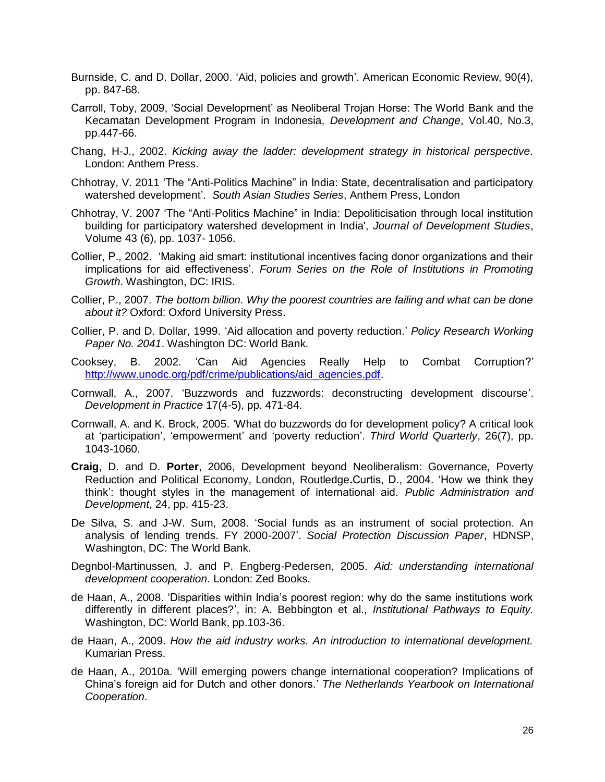- Burnside, C. and D. Dollar, 2000. 'Aid, policies and growth'. American Economic Review, 90(4), pp. 847-68.
- Carroll, Toby, 2009, 'Social Development' as Neoliberal Trojan Horse: The World Bank and the Kecamatan Development Program in Indonesia, *Development and Change*, Vol.40, No.3, pp.447-66.
- Chang, H-J., 2002. *Kicking away the ladder: development strategy in historical perspective.* London: Anthem Press.
- Chhotray, V. 2011 'The "Anti-Politics Machine" in India: State, decentralisation and participatory watershed development'. *South Asian Studies Series*, Anthem Press, London
- Chhotray, V. 2007 'The "Anti-Politics Machine" in India: Depoliticisation through local institution building for participatory watershed development in India', *Journal of Development Studies*, Volume 43 (6), pp. 1037- 1056.
- Collier, P., 2002. 'Making aid smart: institutional incentives facing donor organizations and their implications for aid effectiveness'. *Forum Series on the Role of Institutions in Promoting Growth*. Washington, DC: IRIS.
- Collier, P., 2007. *The bottom billion. Why the poorest countries are failing and what can be done about it?* Oxford: Oxford University Press.
- Collier, P. and D. Dollar, 1999. 'Aid allocation and poverty reduction.' *Policy Research Working Paper No. 2041*. Washington DC: World Bank.
- Cooksey, B. 2002. 'Can Aid Agencies Really Help to Combat Corruption?' [http://www.unodc.org/pdf/crime/publications/aid\\_agencies.pdf.](http://www.unodc.org/pdf/crime/publications/aid_agencies.pdf)
- Cornwall, A., 2007. 'Buzzwords and fuzzwords: deconstructing development discourse'. *Development in Practice* 17(4-5), pp. 471-84.
- Cornwall, A. and K. Brock, 2005. 'What do buzzwords do for development policy? A critical look at 'participation', 'empowerment' and 'poverty reduction'. *Third World Quarterly*, 26(7), pp. 1043-1060.
- **Craig**, D. and D. **Porter**, 2006, Development beyond Neoliberalism: Governance, Poverty Reduction and Political Economy, London, Routledge**.**Curtis, D., 2004. 'How we think they think': thought styles in the management of international aid. *Public Administration and Development,* 24, pp. 415-23.
- De Silva, S. and J-W. Sum, 2008. 'Social funds as an instrument of social protection. An analysis of lending trends. FY 2000-2007'. *Social Protection Discussion Paper*, HDNSP, Washington, DC: The World Bank.
- Degnbol-Martinussen, J. and P. Engberg-Pedersen, 2005. *Aid: understanding international development cooperation*. London: Zed Books.
- de Haan, A., 2008. 'Disparities within India's poorest region: why do the same institutions work differently in different places?', in: A. Bebbington et al., *Institutional Pathways to Equity.*  Washington, DC: World Bank, pp.103-36.
- de Haan, A., 2009. *How the aid industry works. An introduction to international development.* Kumarian Press.
- de Haan, A., 2010a. 'Will emerging powers change international cooperation? Implications of China's foreign aid for Dutch and other donors.' *The Netherlands Yearbook on International Cooperation*.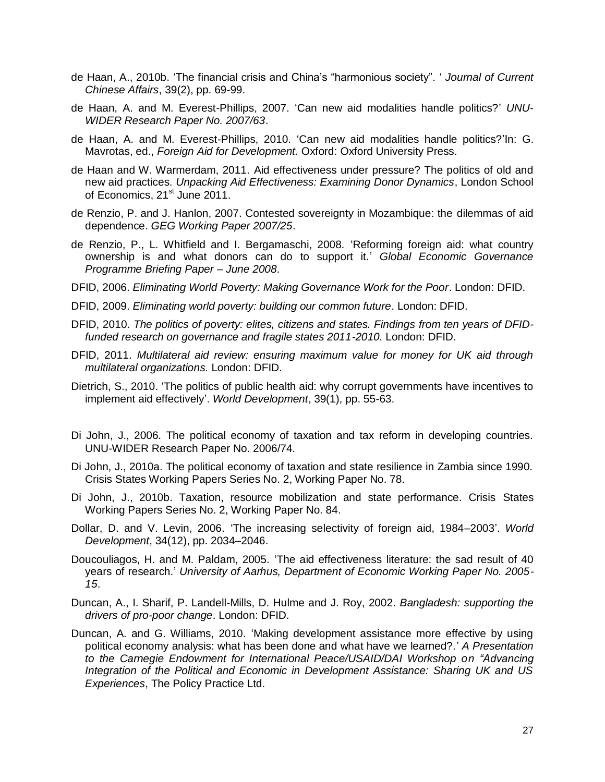- de Haan, A., 2010b. 'The financial crisis and China's "harmonious society". ' *Journal of Current Chinese Affairs*, 39(2), pp. 69-99.
- de Haan, A. and M. Everest-Phillips, 2007. 'Can new aid modalities handle politics?' *UNU-WIDER Research Paper No. 2007/63*.
- de Haan, A. and M. Everest-Phillips, 2010. 'Can new aid modalities handle politics?'In: G. Mavrotas, ed., *Foreign Aid for Development.* Oxford: Oxford University Press.
- de Haan and W. Warmerdam, 2011. Aid effectiveness under pressure? The politics of old and new aid practices. *Unpacking Aid Effectiveness: Examining Donor Dynamics*, London School of Economics, 21<sup>st</sup> June 2011.
- de Renzio, P. and J. Hanlon, 2007. Contested sovereignty in Mozambique: the dilemmas of aid dependence. *GEG Working Paper 2007/25*.
- de Renzio, P., L. Whitfield and I. Bergamaschi, 2008. 'Reforming foreign aid: what country ownership is and what donors can do to support it.' *Global Economic Governance Programme Briefing Paper – June 2008*.
- DFID, 2006. *Eliminating World Poverty: Making Governance Work for the Poor*. London: DFID.
- DFID, 2009. *Eliminating world poverty: building our common future*. London: DFID.
- DFID, 2010. *The politics of poverty: elites, citizens and states. Findings from ten years of DFIDfunded research on governance and fragile states 2011-2010.* London: DFID.
- DFID, 2011. *Multilateral aid review: ensuring maximum value for money for UK aid through multilateral organizations.* London: DFID.
- Dietrich, S., 2010. 'The politics of public health aid: why corrupt governments have incentives to implement aid effectively'. *World Development*, 39(1), pp. 55-63.
- Di John, J., 2006. The political economy of taxation and tax reform in developing countries. UNU-WIDER Research Paper No. 2006/74.
- Di John, J., 2010a. The political economy of taxation and state resilience in Zambia since 1990. Crisis States Working Papers Series No. 2, Working Paper No. 78.
- Di John, J., 2010b. Taxation, resource mobilization and state performance. Crisis States Working Papers Series No. 2, Working Paper No. 84.
- Dollar, D. and V. Levin, 2006. 'The increasing selectivity of foreign aid, 1984–2003'. *World Development*, 34(12), pp. 2034–2046.
- Doucouliagos, H. and M. Paldam, 2005. 'The aid effectiveness literature: the sad result of 40 years of research.' *University of Aarhus, Department of Economic Working Paper No. 2005- 15*.
- Duncan, A., I. Sharif, P. Landell-Mills, D. Hulme and J. Roy, 2002. *Bangladesh: supporting the drivers of pro-poor change*. London: DFID.
- Duncan, A. and G. Williams, 2010. 'Making development assistance more effective by using political economy analysis: what has been done and what have we learned?.' *A Presentation to the Carnegie Endowment for International Peace/USAID/DAI Workshop on "Advancing Integration of the Political and Economic in Development Assistance: Sharing UK and US Experiences*, The Policy Practice Ltd.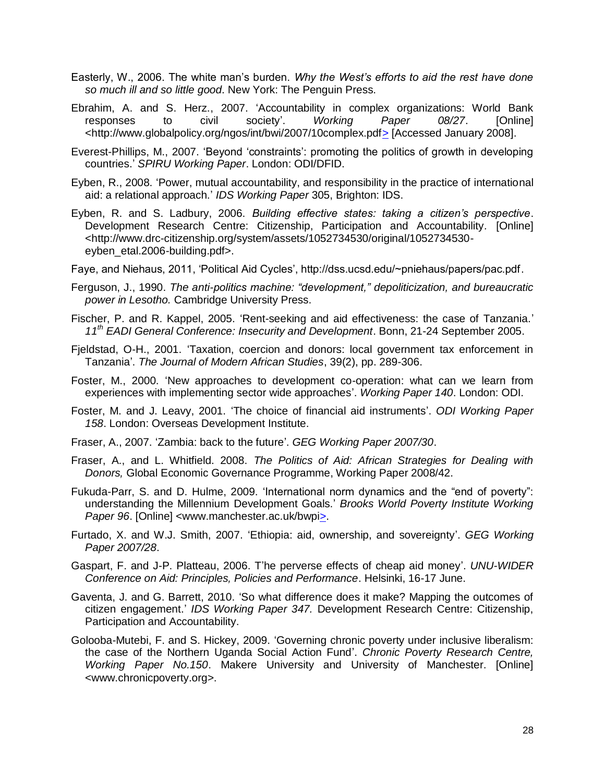- Easterly, W., 2006. The white man's burden. *Why the West's efforts to aid the rest have done so much ill and so little good*. New York: The Penguin Press.
- Ebrahim, A. and S. Herz., 2007. 'Accountability in complex organizations: World Bank responses to civil society'. *Working Paper 08/27*. [Online] <http://www.globalpolicy.org/ngos/int/bwi/2007/10complex.pdf> [Accessed January 2008].
- Everest-Phillips, M., 2007. 'Beyond 'constraints': promoting the politics of growth in developing countries.' *SPIRU Working Paper*. London: ODI/DFID.
- Eyben, R., 2008. 'Power, mutual accountability, and responsibility in the practice of international aid: a relational approach.' *IDS Working Paper* 305, Brighton: IDS.
- Eyben, R. and S. Ladbury, 2006. *Building effective states: taking a citizen's perspective*. Development Research Centre: Citizenship, Participation and Accountability*.* [Online] <http://www.drc-citizenship.org/system/assets/1052734530/original/1052734530 eyben\_etal.2006-building.pdf>.
- Faye, and Niehaus, 2011, 'Political Aid Cycles', http://dss.ucsd.edu/~pniehaus/papers/pac.pdf.
- Ferguson, J., 1990. *The anti-politics machine: "development," depoliticization, and bureaucratic power in Lesotho.* Cambridge University Press.
- Fischer, P. and R. Kappel, 2005. 'Rent-seeking and aid effectiveness: the case of Tanzania.' *11th EADI General Conference: Insecurity and Development*. Bonn, 21-24 September 2005.
- Fjeldstad, O-H., 2001. 'Taxation, coercion and donors: local government tax enforcement in Tanzania'. *The Journal of Modern African Studies*, 39(2), pp. 289-306.
- Foster, M., 2000. 'New approaches to development co-operation: what can we learn from experiences with implementing sector wide approaches'. *Working Paper 140*. London: ODI.
- [Foster, M. and J. Leavy, 2001. 'The choice of financial aid instruments'.](http://www.gsdrc.org/go/display/document/legacyid/586) *ODI Working Paper 158*[. London: Overseas Development Institute.](http://www.gsdrc.org/go/display/document/legacyid/586)
- Fraser, A., 2007. 'Zambia: back to the future'. *GEG Working Paper 2007/30*.
- Fraser, A., and L. Whitfield. 2008. *The Politics of Aid: African Strategies for Dealing with Donors,* Global Economic Governance Programme, Working Paper 2008/42.
- Fukuda-Parr, S. and D. Hulme, 2009. 'International norm dynamics and the "end of poverty": understanding the Millennium Development Goals.' *Brooks World Poverty Institute Working Paper 96*. [Online] <www.manchester.ac.uk/bwpi>.
- Furtado, X. and W.J. Smith, 2007. 'Ethiopia: aid, ownership, and sovereignty'. *GEG Working Paper 2007/28*.
- Gaspart, F. and J-P. Platteau, 2006. T'he perverse effects of cheap aid money'. *UNU-WIDER Conference on Aid: Principles, Policies and Performance*. Helsinki, 16-17 June.
- Gaventa, J. and G. Barrett, 2010. 'So what difference does it make? Mapping the outcomes of citizen engagement.' *IDS Working Paper 347.* Development Research Centre: Citizenship, Participation and Accountability.
- Golooba-Mutebi, F. and S. Hickey, 2009. 'Governing chronic poverty under inclusive liberalism: the case of the Northern Uganda Social Action Fund'. *Chronic Poverty Research Centre, Working Paper No.150*. Makere University and University of Manchester. [Online] <www.chronicpoverty.org>.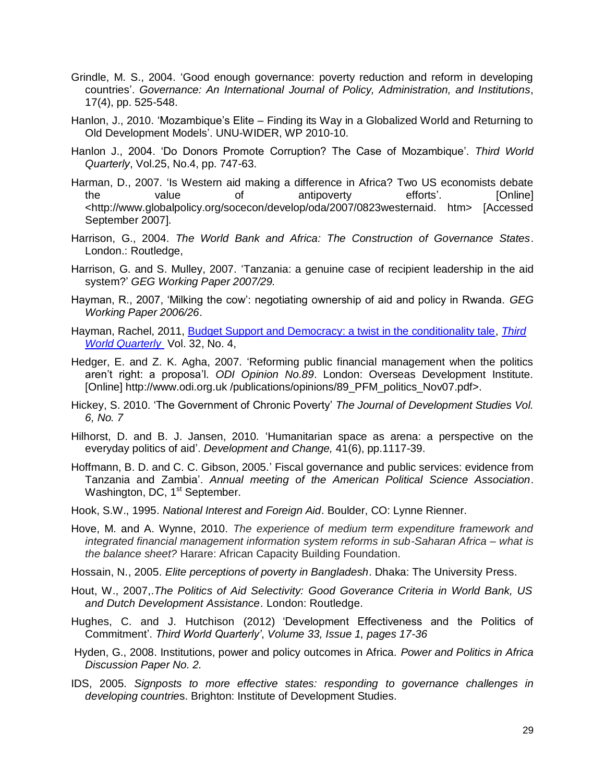- Grindle, M. S., 2004. 'Good enough governance: poverty reduction and reform in developing countries'. *Governance: An International Journal of Policy, Administration, and Institutions*, 17(4), pp. 525-548.
- Hanlon, J., 2010. 'Mozambique's Elite Finding its Way in a Globalized World and Returning to Old Development Models'. UNU-WIDER, WP 2010-10.
- Hanlon J., 2004. 'Do Donors Promote Corruption? The Case of Mozambique'. *Third World Quarterly*, Vol.25, No.4, pp. 747-63.
- Harman, D., 2007. 'Is Western aid making a difference in Africa? Two US economists debate the value of antipoverty efforts'. [Online] <http://www.globalpolicy.org/socecon/develop/oda/2007/0823westernaid. htm> [Accessed September 2007].
- Harrison, G., 2004. *The World Bank and Africa: The Construction of Governance States*. London.: Routledge,
- Harrison, G. and S. Mulley, 2007. 'Tanzania: a genuine case of recipient leadership in the aid system?' *GEG Working Paper 2007/29.*
- Hayman, R., 2007, 'Milking the cow': negotiating ownership of aid and policy in Rwanda. *GEG Working Paper 2006/26*.
- Hayman, Rachel, 2011, [Budget Support and Democracy: a twist in the conditionality tale,](http://www.tandfonline.com/doi/abs/10.1080/01436597.2011.566998) *[Third](http://www.tandfonline.com/toc/ctwq20/32/4)  [World Quarterly](http://www.tandfonline.com/toc/ctwq20/32/4)* Vol. 32, No. 4,
- Hedger, E. and Z. K. Agha, 2007. 'Reforming public financial management when the politics aren't right: a proposa'l. *ODI Opinion No.89*. London: Overseas Development Institute. [Online] http://www.odi.org.uk /publications/opinions/89\_PFM\_politics\_Nov07.pdf>.
- Hickey, S. 2010. 'The Government of Chronic Poverty' *The Journal of Development Studies Vol. 6, No. 7*
- Hilhorst, D. and B. J. Jansen, 2010. 'Humanitarian space as arena: a perspective on the everyday politics of aid'. *Development and Change,* 41(6), pp.1117-39.
- Hoffmann, B. D. and C. C. Gibson, 2005.' Fiscal governance and public services: evidence from Tanzania and Zambia'. *Annual meeting of the American Political Science Association*. Washington, DC, 1<sup>st</sup> September.
- Hook, S.W., 1995. *National Interest and Foreign Aid*. Boulder, CO: Lynne Rienner.
- Hove, M. and A. Wynne, 2010. *The experience of medium term expenditure framework and integrated financial management information system reforms in sub-Saharan Africa – what is the balance sheet?* Harare: African Capacity Building Foundation.
- Hossain, N., 2005. *Elite perceptions of poverty in Bangladesh*. Dhaka: The University Press.
- Hout, W., 2007,.*The Politics of Aid Selectivity: Good Goverance Criteria in World Bank, US and Dutch Development Assistance*. London: Routledge.
- [Hughes,](http://www.tandfonline.com/action/doSearch?action=runSearch&type=advanced&result=true&prevSearch=%2Bauthorsfield%3A%28Hughes%2C+Caroline%29) C. and [J. Hutchison](http://www.tandfonline.com/action/doSearch?action=runSearch&type=advanced&result=true&prevSearch=%2Bauthorsfield%3A%28Hutchison%2C+Jane%29) (2012) 'Development Effectiveness and the Politics of Commitment'. *Third World Quarterly'*, *[Volume 33,](http://www.tandfonline.com/loi/ctwq20?open=33#vol_33) [Issue 1,](http://www.tandfonline.com/toc/ctwq20/33/1) pages 17-36*
- Hyden, G., 2008. Institutions, power and policy outcomes in Africa. *Power and Politics in Africa Discussion Paper No. 2.*
- IDS, 2005. *Signposts to more effective states: responding to governance challenges in developing countrie*s. Brighton: Institute of Development Studies.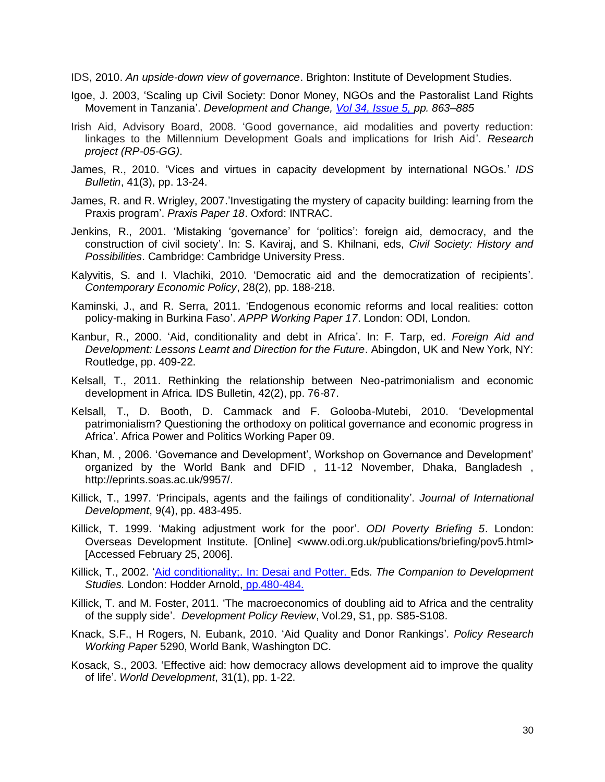IDS, 2010. *An upside-down view of governance*. Brighton: Institute of Development Studies.

- Igoe, J. 2003, 'Scaling up Civil Society: Donor Money, NGOs and the Pastoralist Land Rights Movement in Tanzania'. *Development and Change, [Vol 34, Issue 5, p](http://onlinelibrary.wiley.com/doi/10.1111/dech.2003.34.issue-5/issuetoc)p. 863–885*
- Irish Aid, Advisory Board, 2008. 'Good governance, aid modalities and poverty reduction: linkages to the Millennium Development Goals and implications for Irish Aid'. *Research project (RP-05-GG)*.
- James, R., 2010. 'Vices and virtues in capacity development by international NGOs.' *IDS Bulletin*, 41(3), pp. 13-24.
- James, R. and R. Wrigley, 2007.'Investigating the mystery of capacity building: learning from the Praxis program'. *Praxis Paper 18*. Oxford: INTRAC.
- Jenkins, R., 2001. 'Mistaking 'governance' for 'politics': foreign aid, democracy, and the construction of civil society'. In: S. Kaviraj, and S. Khilnani, eds, *Civil Society: History and Possibilities*. Cambridge: Cambridge University Press.
- Kalyvitis, S. and I. Vlachiki, 2010. 'Democratic aid and the democratization of recipients'. *Contemporary Economic Policy*, 28(2), pp. 188-218.
- Kaminski, J., and R. Serra, 2011. 'Endogenous economic reforms and local realities: cotton policy-making in Burkina Faso'. *APPP Working Paper 17*. London: ODI, London.
- Kanbur, R., 2000. 'Aid, conditionality and debt in Africa'. In: F. Tarp, ed. *Foreign Aid and Development: Lessons Learnt and Direction for the Future*. Abingdon, UK and New York, NY: Routledge, pp. 409-22.
- Kelsall, T., 2011. Rethinking the relationship between Neo-patrimonialism and economic development in Africa. IDS Bulletin, 42(2), pp. 76-87.
- Kelsall, T., D. Booth, D. Cammack and F. Golooba-Mutebi, 2010. 'Developmental patrimonialism? Questioning the orthodoxy on political governance and economic progress in Africa'. Africa Power and Politics Working Paper 09.
- Khan, M. , 2006. 'Governance and Development', Workshop on Governance and Development' organized by the World Bank and DFID , 11-12 November, Dhaka, Bangladesh , http://eprints.soas.ac.uk/9957/.
- Killick, T., 1997. 'Principals, agents and the failings of conditionality'. *Journal of International Development*, 9(4), pp. 483-495.
- Killick, T. 1999. 'Making adjustment work for the poor'. *ODI Poverty Briefing 5*. London: Overseas Development Institute. [Online] <www.odi.org.uk/publications/briefing/pov5.html> [Accessed February 25, 2006].
- Killick, T., 2002. 'Aid conditionality;. In: Desai and Potter. Eds. *The Companion to Development Studies.* London: Hodder Arnold, pp.480-484.
- Killick, T. and M. Foster, 2011. 'The macroeconomics of doubling aid to Africa and the centrality of the supply side'. *Development Policy Review*, Vol.29, S1, pp. S85-S108.
- Knack, S.F., H Rogers, N. Eubank, 2010. 'Aid Quality and Donor Rankings'*. Policy Research Working Paper* 5290, World Bank, Washington DC.
- Kosack, S., 2003. 'Effective aid: how democracy allows development aid to improve the quality of life'. *World Development*, 31(1), pp. 1-22.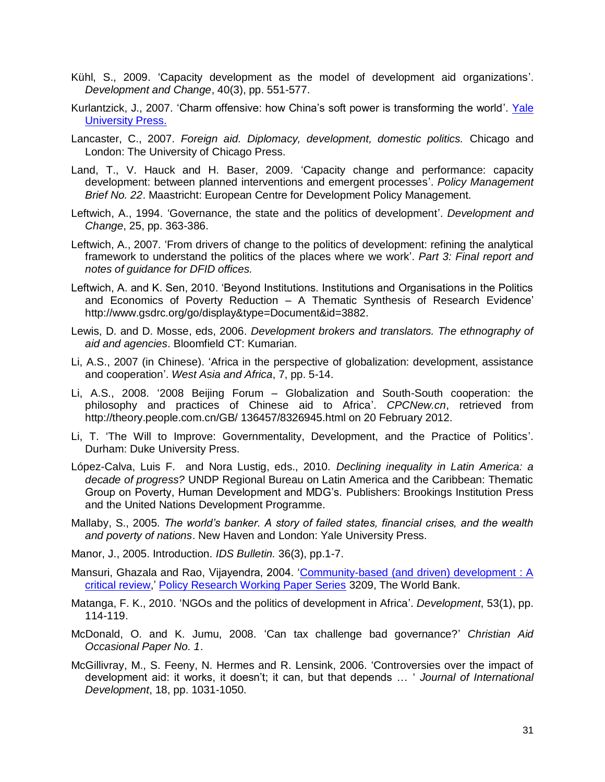- Kühl, S., 2009. 'Capacity development as the model of development aid organizations'. *Development and Change*, 40(3), pp. 551-577.
- Kurlantzick, J., 2007. 'Charm offensive: how China's soft power is transforming the world'. Yale University Press.
- Lancaster, C., 2007. *Foreign aid. Diplomacy, development, domestic politics.* Chicago and London: The University of Chicago Press.
- Land, T., V. Hauck and H. Baser, 2009. 'Capacity change and performance: capacity development: between planned interventions and emergent processes'. *Policy Management Brief No. 22*. Maastricht: European Centre for Development Policy Management.
- Leftwich, A., 1994. 'Governance, the state and the politics of development'. *Development and Change*, 25, pp. 363-386.
- Leftwich, A., 2007. 'From drivers of change to the politics of development: refining the analytical framework to understand the politics of the places where we work'. *Part 3: Final report and notes of guidance for DFID offices.*
- Leftwich, A. and K. Sen, 2010. 'Beyond Institutions. Institutions and Organisations in the Politics and Economics of Poverty Reduction – A Thematic Synthesis of Research Evidence' http://www.gsdrc.org/go/display&type=Document&id=3882.
- Lewis, D. and D. Mosse, eds, 2006. *Development brokers and translators. The ethnography of aid and agencies*. Bloomfield CT: Kumarian.
- Li, A.S., 2007 (in Chinese). 'Africa in the perspective of globalization: development, assistance and cooperation'. *West Asia and Africa*, 7, pp. 5-14.
- Li, A.S., 2008. '2008 Beijing Forum Globalization and South-South cooperation: the philosophy and practices of Chinese aid to Africa'. *CPCNew.cn*, retrieved from http://theory.people.com.cn/GB/ 136457/8326945.html on 20 February 2012.
- Li, T. 'The Will to Improve: Governmentality, Development, and the Practice of Politics'. Durham: Duke University Press.
- López-Calva, Luis F. and Nora Lustig, eds., 2010*. Declining inequality in Latin America: a decade of progress?* UNDP Regional Bureau on Latin America and the Caribbean: Thematic Group on Poverty, Human Development and MDG's*.* Publishers: Brookings Institution Press and the United Nations Development Programme.
- Mallaby, S., 2005. *The world's banker. A story of failed states, financial crises, and the wealth and poverty of nations*. New Haven and London: Yale University Press.
- Manor, J., 2005. Introduction. *IDS Bulletin.* 36(3), pp.1-7.
- Mansuri, Ghazala and Rao, Vijayendra, 2004. ['Community-based \(and driven\) development : A](http://ideas.repec.org/p/wbk/wbrwps/3209.html)  [critical review,](http://ideas.repec.org/p/wbk/wbrwps/3209.html)' [Policy Research Working Paper Series](http://ideas.repec.org/s/wbk/wbrwps.html) 3209, The World Bank.
- Matanga, F. K., 2010. 'NGOs and the politics of development in Africa'. *Development*, 53(1), pp. 114-119.
- McDonald, O. and K. Jumu, 2008. 'Can tax challenge bad governance?' *Christian Aid Occasional Paper No. 1*.
- McGillivray, M., S. Feeny, N. Hermes and R. Lensink, 2006. 'Controversies over the impact of development aid: it works, it doesn't; it can, but that depends … ' *Journal of International Development*, 18, pp. 1031-1050.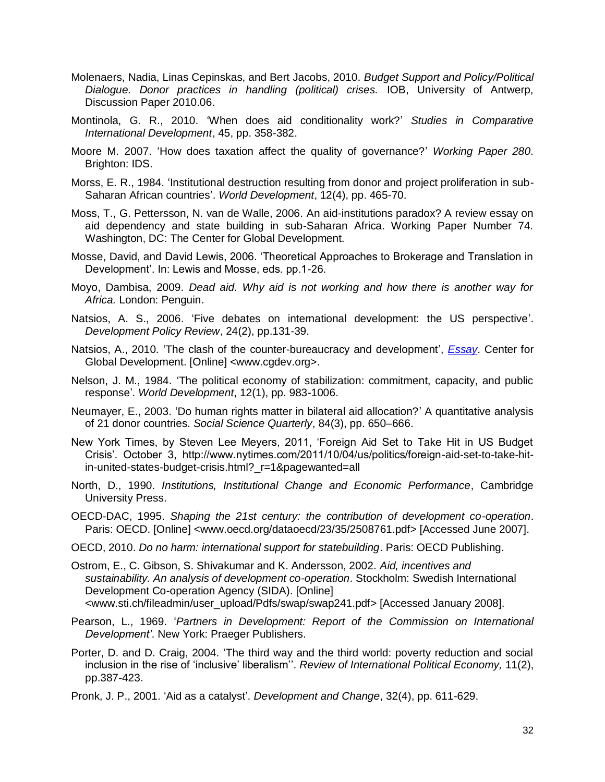- Molenaers, Nadia, Linas Cepinskas, and Bert Jacobs, 2010. *Budget Support and Policy/Political Dialogue. Donor practices in handling (political) crises.* IOB, University of Antwerp, Discussion Paper 2010.06.
- Montinola, G. R., 2010. 'When does aid conditionality work?' *Studies in Comparative International Development*, 45, pp. 358-382.
- Moore M. 2007. 'How does taxation affect the quality of governance?' *Working Paper 280*. Brighton: IDS.
- Morss, E. R., 1984. 'Institutional destruction resulting from donor and project proliferation in sub-Saharan African countries'. *World Development*, 12(4), pp. 465-70.
- Moss, T., G. Pettersson, N. van de Walle, 2006. An aid-institutions paradox? A review essay on aid dependency and state building in sub-Saharan Africa. Working Paper Number 74. Washington, DC: The Center for Global Development.
- Mosse, David, and David Lewis, 2006. 'Theoretical Approaches to Brokerage and Translation in Development'. In: Lewis and Mosse, eds. pp.1-26.
- Moyo, Dambisa, 2009. *Dead aid. Why aid is not working and how there is another way for Africa.* London: Penguin.
- Natsios, A. S., 2006. 'Five debates on international development: the US perspective'. *Development Policy Review*, 24(2), pp.131-39.
- Natsios, A., 2010. 'The clash of the counter-bureaucracy and development', *Essay*. Center for Global Development. [Online] <www.cgdev.org>.
- Nelson, J. M., 1984. 'The political economy of stabilization: commitment, capacity, and public response'. *World Development*, 12(1), pp. 983-1006.
- Neumayer, E., 2003. 'Do human rights matter in bilateral aid allocation?' A quantitative analysis of 21 donor countries. *Social Science Quarterly*, 84(3), pp. 650–666.
- New York Times, by Steven Lee Meyers, 2011, 'Foreign Aid Set to Take Hit in US Budget Crisis'. October 3, http://www.nytimes.com/2011/10/04/us/politics/foreign-aid-set-to-take-hitin-united-states-budget-crisis.html?\_r=1&pagewanted=all
- North, D., 1990. *Institutions, Institutional Change and Economic Performance*, Cambridge University Press.
- OECD-DAC, 1995. *Shaping the 21st century: the contribution of development co-operation*. Paris: OECD. [Online] <www.oecd.org/dataoecd/23/35/2508761.pdf> [Accessed June 2007].
- OECD, 2010. *Do no harm: international support for statebuilding*. Paris: OECD Publishing.
- Ostrom, E., C. Gibson, S. Shivakumar and K. Andersson, 2002. *Aid, incentives and sustainability. An analysis of development co-operation*. Stockholm: Swedish International Development Co-operation Agency (SIDA). [Online] <www.sti.ch/fileadmin/user\_upload/Pdfs/swap/swap241.pdf> [Accessed January 2008].
- Pearson, L., 1969. '*Partners in Development: Report of the Commission on International Development'*. New York: Praeger Publishers.
- Porter, D. and D. Craig, 2004. 'The third way and the third world: poverty reduction and social inclusion in the rise of 'inclusive' liberalism''. *Review of International Political Economy,* 11(2), pp.387-423.
- Pronk, J. P., 2001. 'Aid as a catalyst'. *Development and Change*, 32(4), pp. 611-629.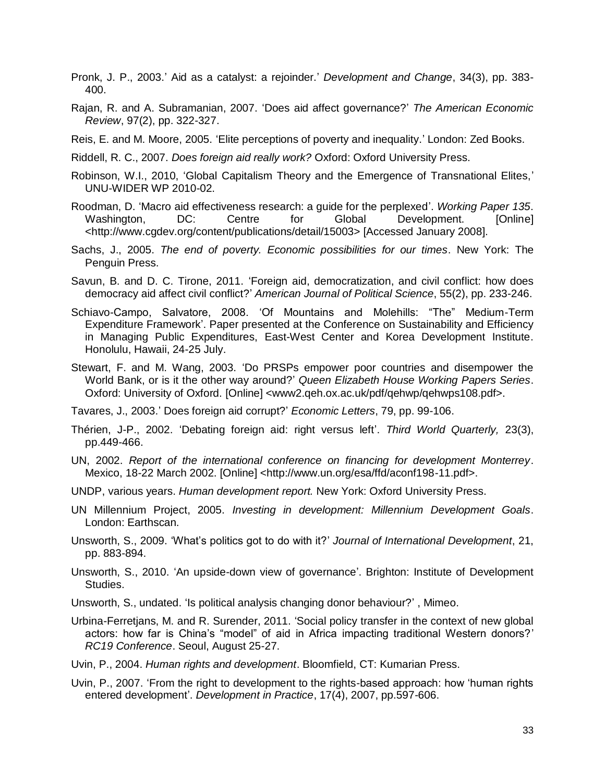- Pronk, J. P., 2003.' Aid as a catalyst: a rejoinder.' *Development and Change*, 34(3), pp. 383- 400.
- Rajan, R. and A. Subramanian, 2007. 'Does aid affect governance?' *The American Economic Review*, 97(2), pp. 322-327.
- Reis, E. and M. Moore, 2005. 'Elite perceptions of poverty and inequality.' London: Zed Books.
- Riddell, R. C., 2007. *Does foreign aid really work?* Oxford: Oxford University Press.
- Robinson, W.I., 2010, 'Global Capitalism Theory and the Emergence of Transnational Elites,' UNU-WIDER WP 2010-02.
- Roodman, D. 'Macro aid effectiveness research: a guide for the perplexed'. *Working Paper 135*. Washington, DC: Centre for Global Development. [Online] <http://www.cgdev.org/content/publications/detail/15003> [Accessed January 2008].
- Sachs, J., 2005. *The end of poverty. Economic possibilities for our times*. New York: The Penguin Press.
- Savun, B. and D. C. Tirone, 2011. 'Foreign aid, democratization, and civil conflict: how does democracy aid affect civil conflict?' *American Journal of Political Science*, 55(2), pp. 233-246.
- Schiavo-Campo, Salvatore, 2008. 'Of Mountains and Molehills: "The" Medium-Term Expenditure Framework'. Paper presented at the Conference on Sustainability and Efficiency in Managing Public Expenditures, East-West Center and Korea Development Institute. Honolulu, Hawaii, 24-25 July.
- Stewart, F. and M. Wang, 2003. 'Do PRSPs empower poor countries and disempower the World Bank, or is it the other way around?' *Queen Elizabeth House Working Papers Series*. Oxford: University of Oxford. [Online] <www2.qeh.ox.ac.uk/pdf/qehwp/qehwps108.pdf>.
- Tavares, J., 2003.' Does foreign aid corrupt?' *Economic Letters*, 79, pp. 99-106.
- Thérien, J-P., 2002. 'Debating foreign aid: right versus left'. *Third World Quarterly,* 23(3), pp.449-466.
- UN, 2002. *Report of the international conference on financing for development Monterrey*. Mexico, 18-22 March 2002. [Online] <http://www.un.org/esa/ffd/aconf198-11.pdf>.
- UNDP, various years. *Human development report.* New York: Oxford University Press.
- UN Millennium Project, 2005. *Investing in development: Millennium Development Goals*. London: Earthscan.
- Unsworth, S., 2009. 'What's politics got to do with it?' *Journal of International Development*, 21, pp. 883-894.
- Unsworth, S., 2010. 'An upside-down view of governance'. Brighton: Institute of Development Studies.
- Unsworth, S., undated. 'Is political analysis changing donor behaviour?' , Mimeo.
- Urbina-Ferretjans, M. and R. Surender, 2011. 'Social policy transfer in the context of new global actors: how far is China's "model" of aid in Africa impacting traditional Western donors?' *RC19 Conference*. Seoul, August 25-27.
- Uvin, P., 2004. *Human rights and development*. Bloomfield, CT: Kumarian Press.
- Uvin, P., 2007. 'From the right to development to the rights-based approach: how 'human rights entered development'. *Development in Practice*, 17(4), 2007, pp.597-606.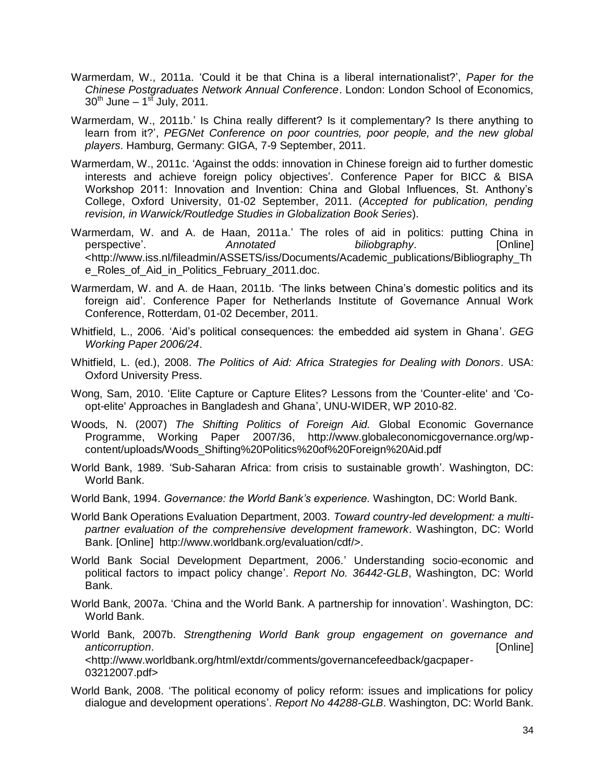- Warmerdam, W., 2011a. 'Could it be that China is a liberal internationalist?', *Paper for the Chinese Postgraduates Network Annual Conference*. London: London School of Economics, 30th June – 1 st July, 2011*.*
- Warmerdam, W., 2011b.' Is China really different? Is it complementary? Is there anything to learn from it?', *PEGNet Conference on poor countries, poor people, and the new global players*. Hamburg, Germany: GIGA, 7-9 September, 2011.
- Warmerdam, W., 2011c. 'Against the odds: innovation in Chinese foreign aid to further domestic interests and achieve foreign policy objectives'. Conference Paper for BICC & BISA Workshop 2011: Innovation and Invention: China and Global Influences, St. Anthony's College, Oxford University, 01-02 September, 2011. (*Accepted for publication, pending revision, in Warwick/Routledge Studies in Globalization Book Series*).
- Warmerdam, W. and A. de Haan, 2011a.' The roles of aid in politics: putting China in perspective'. *Annotated biliobgraphy*. [Online] <http://www.iss.nl/fileadmin/ASSETS/iss/Documents/Academic\_publications/Bibliography\_Th e\_Roles\_of\_Aid\_in\_Politics\_February\_2011.doc.
- Warmerdam, W. and A. de Haan, 2011b. 'The links between China's domestic politics and its foreign aid'. Conference Paper for Netherlands Institute of Governance Annual Work Conference, Rotterdam, 01-02 December, 2011.
- Whitfield, L., 2006. 'Aid's political consequences: the embedded aid system in Ghana'. *GEG Working Paper 2006/24*.
- Whitfield, L. (ed.), 2008. *The Politics of Aid: Africa Strategies for Dealing with Donors*. USA: Oxford University Press.
- Wong, Sam, 2010. 'Elite Capture or Capture Elites? Lessons from the 'Counter-elite' and 'Coopt-elite' Approaches in Bangladesh and Ghana', UNU-WIDER, WP 2010-82.
- Woods, N. (2007) *The Shifting Politics of Foreign Aid.* Global Economic Governance Programme, Working Paper 2007/36, http://www.globaleconomicgovernance.org/wpcontent/uploads/Woods\_Shifting%20Politics%20of%20Foreign%20Aid.pdf
- World Bank, 1989. 'Sub-Saharan Africa: from crisis to sustainable growth'. Washington, DC: World Bank.
- World Bank, 1994. *Governance: the World Bank's experience.* Washington, DC: World Bank.
- World Bank Operations Evaluation Department, 2003. *Toward country-led development: a multipartner evaluation of the comprehensive development framework*. Washington, DC: World Bank. [Online] http://www.worldbank.org/evaluation/cdf/>.
- World Bank Social Development Department, 2006.' Understanding socio-economic and political factors to impact policy change'. *Report No. 36442-GLB*, Washington, DC: World Bank.
- World Bank, 2007a. 'China and the World Bank. A partnership for innovation'. Washington, DC: World Bank.
- World Bank, 2007b. *Strengthening World Bank group engagement on governance and anticorruption*. [Online] <http://www.worldbank.org/html/extdr/comments/governancefeedback/gacpaper-03212007.pdf>
- World Bank, 2008. 'The political economy of policy reform: issues and implications for policy dialogue and development operations'. *Report No 44288-GLB*. Washington, DC: World Bank.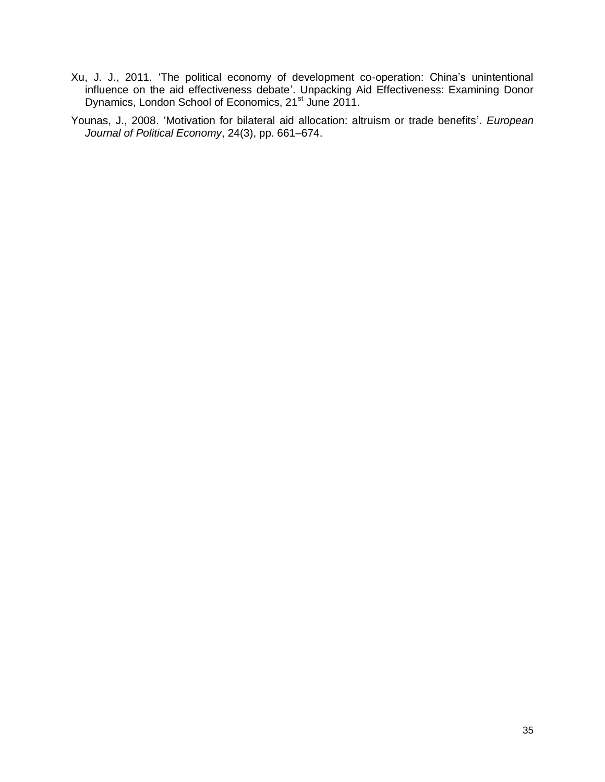- Xu, J. J., 2011. 'The political economy of development co-operation: China's unintentional influence on the aid effectiveness debate'. Unpacking Aid Effectiveness: Examining Donor Dynamics, London School of Economics, 21<sup>st</sup> June 2011.
- Younas, J., 2008. 'Motivation for bilateral aid allocation: altruism or trade benefits'. *European Journal of Political Economy*, 24(3), pp. 661–674.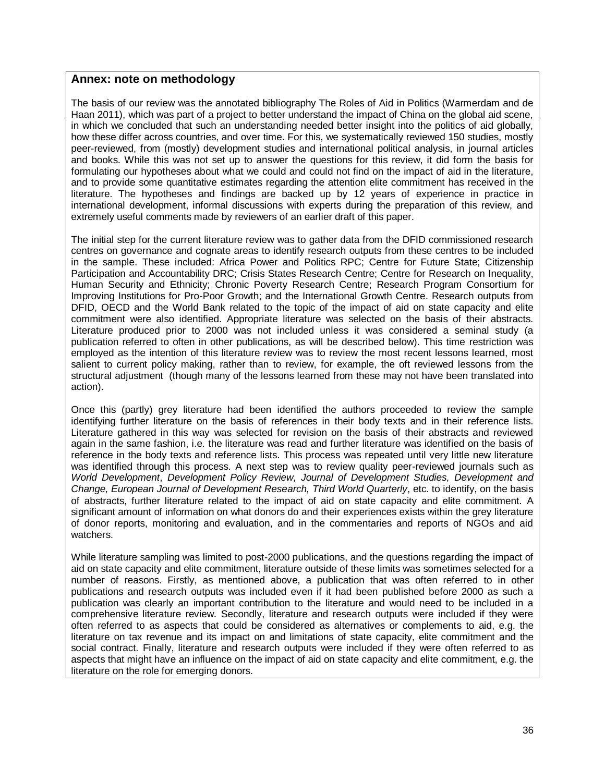#### **Annex: note on methodology**

The basis of our review was the annotated bibliography The Roles of Aid in Politics (Warmerdam and de Haan 2011), which was part of a project to better understand the impact of China on the global aid scene, in which we concluded that such an understanding needed better insight into the politics of aid globally, how these differ across countries, and over time. For this, we systematically reviewed 150 studies, mostly peer-reviewed, from (mostly) development studies and international political analysis, in journal articles and books. While this was not set up to answer the questions for this review, it did form the basis for formulating our hypotheses about what we could and could not find on the impact of aid in the literature, and to provide some quantitative estimates regarding the attention elite commitment has received in the literature. The hypotheses and findings are backed up by 12 years of experience in practice in international development, informal discussions with experts during the preparation of this review, and extremely useful comments made by reviewers of an earlier draft of this paper.

The initial step for the current literature review was to gather data from the DFID commissioned research centres on governance and cognate areas to identify research outputs from these centres to be included in the sample. These included: Africa Power and Politics RPC; Centre for Future State; Citizenship Participation and Accountability DRC; Crisis States Research Centre; Centre for Research on Inequality, Human Security and Ethnicity; Chronic Poverty Research Centre; Research Program Consortium for Improving Institutions for Pro-Poor Growth; and the International Growth Centre. Research outputs from DFID, OECD and the World Bank related to the topic of the impact of aid on state capacity and elite commitment were also identified. Appropriate literature was selected on the basis of their abstracts. Literature produced prior to 2000 was not included unless it was considered a seminal study (a publication referred to often in other publications, as will be described below). This time restriction was employed as the intention of this literature review was to review the most recent lessons learned, most salient to current policy making, rather than to review, for example, the oft reviewed lessons from the structural adjustment (though many of the lessons learned from these may not have been translated into action).

Once this (partly) grey literature had been identified the authors proceeded to review the sample identifying further literature on the basis of references in their body texts and in their reference lists. Literature gathered in this way was selected for revision on the basis of their abstracts and reviewed again in the same fashion, i.e. the literature was read and further literature was identified on the basis of reference in the body texts and reference lists. This process was repeated until very little new literature was identified through this process. A next step was to review quality peer-reviewed journals such as *World Development*, *Development Policy Review, Journal of Development Studies, Development and Change, European Journal of Development Research, Third World Quarterly*, etc. to identify, on the basis of abstracts, further literature related to the impact of aid on state capacity and elite commitment. A significant amount of information on what donors do and their experiences exists within the grey literature of donor reports, monitoring and evaluation, and in the commentaries and reports of NGOs and aid watchers.

While literature sampling was limited to post-2000 publications, and the questions regarding the impact of aid on state capacity and elite commitment, literature outside of these limits was sometimes selected for a number of reasons. Firstly, as mentioned above, a publication that was often referred to in other publications and research outputs was included even if it had been published before 2000 as such a publication was clearly an important contribution to the literature and would need to be included in a comprehensive literature review. Secondly, literature and research outputs were included if they were often referred to as aspects that could be considered as alternatives or complements to aid, e.g. the literature on tax revenue and its impact on and limitations of state capacity, elite commitment and the social contract. Finally, literature and research outputs were included if they were often referred to as aspects that might have an influence on the impact of aid on state capacity and elite commitment, e.g. the literature on the role for emerging donors.